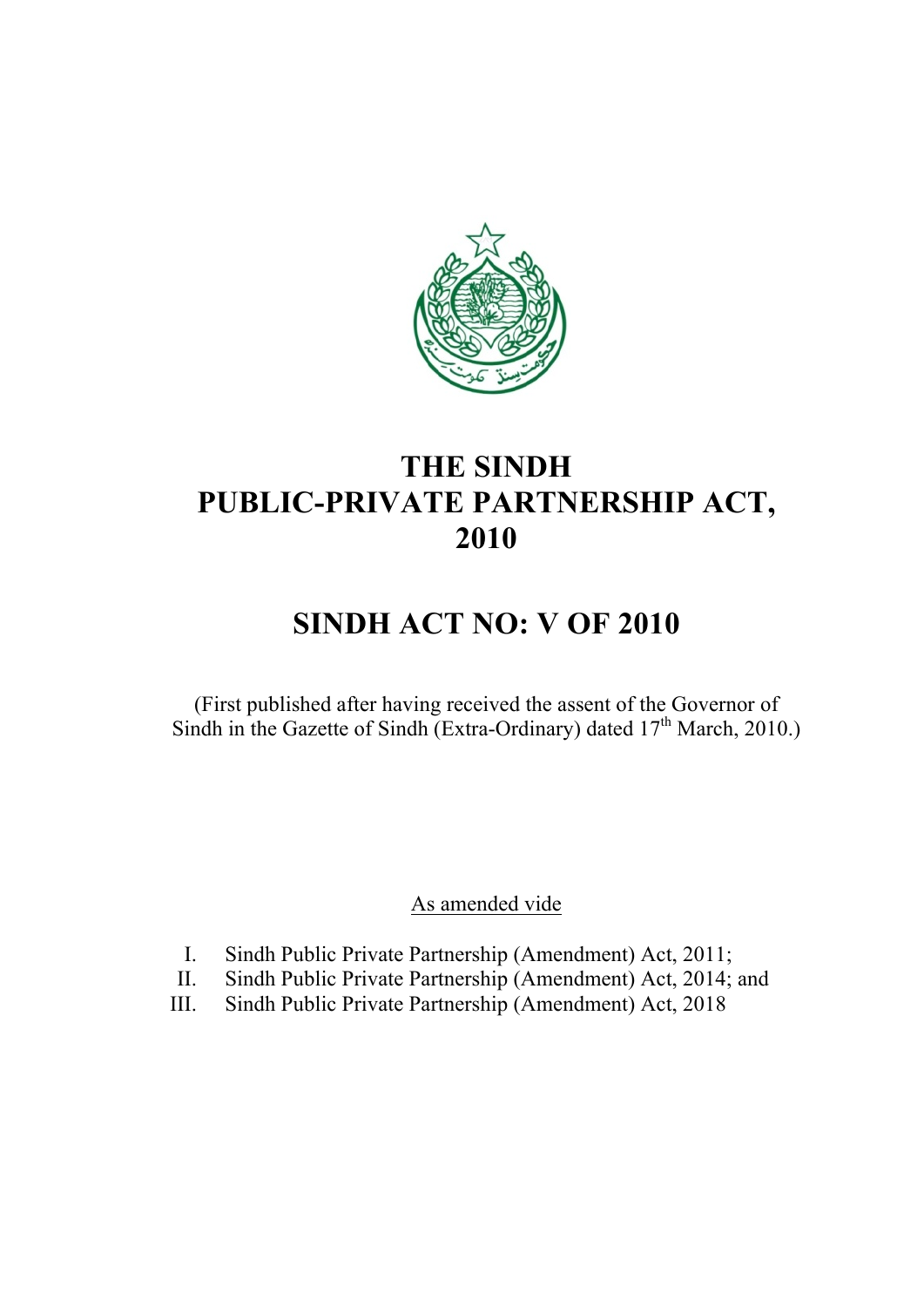

## **THE SINDH PUBLIC-PRIVATE PARTNERSHIP ACT, 2010**

# **SINDH ACT NO: V OF 2010**

(First published after having received the assent of the Governor of Sindh in the Gazette of Sindh (Extra-Ordinary) dated  $17<sup>th</sup>$  March, 2010.)

As amended vide

- I. Sindh Public Private Partnership (Amendment) Act, 2011;
- II. Sindh Public Private Partnership (Amendment) Act, 2014; and
- III. Sindh Public Private Partnership (Amendment) Act, 2018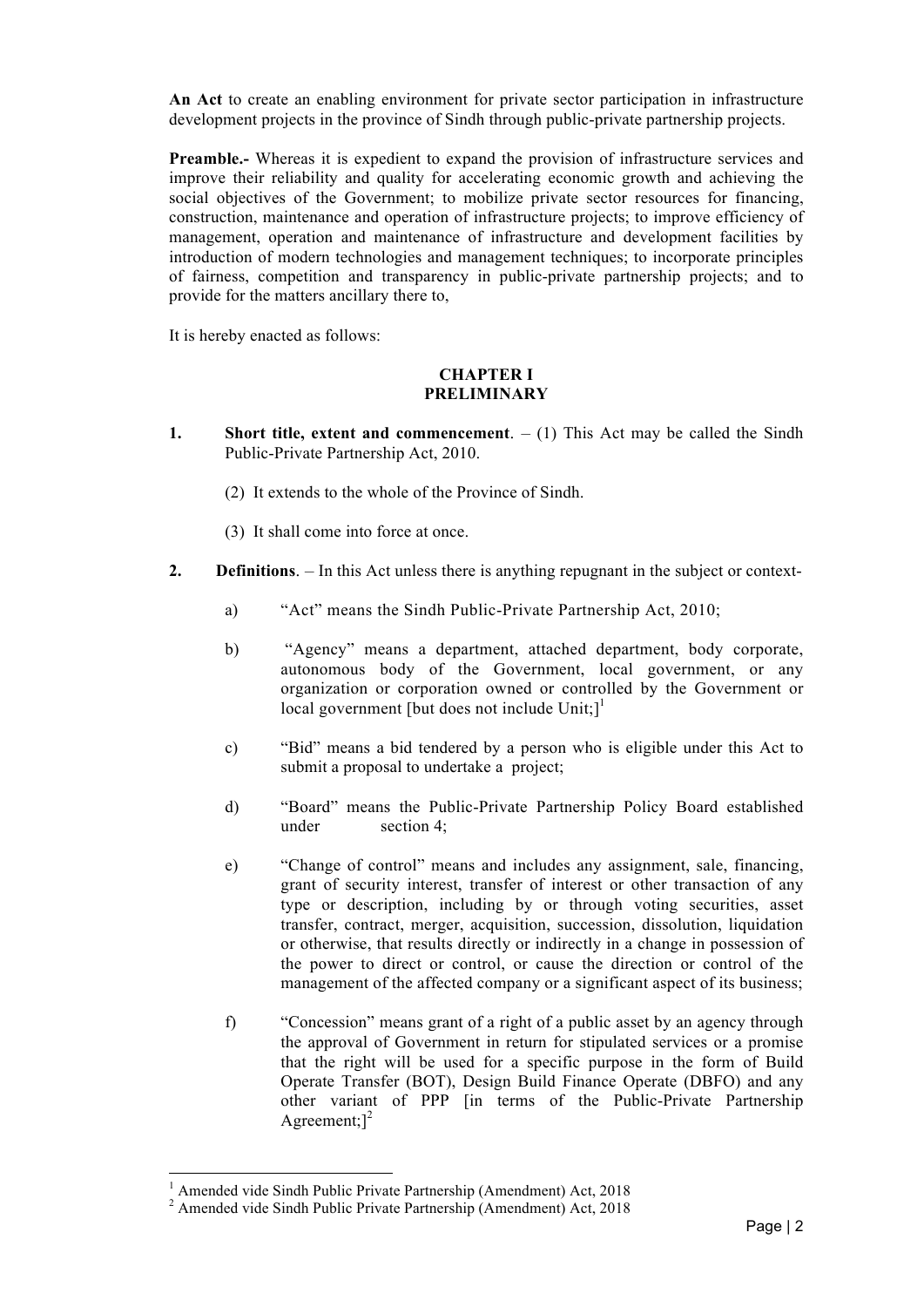**An Act** to create an enabling environment for private sector participation in infrastructure development projects in the province of Sindh through public-private partnership projects.

**Preamble.-** Whereas it is expedient to expand the provision of infrastructure services and improve their reliability and quality for accelerating economic growth and achieving the social objectives of the Government; to mobilize private sector resources for financing, construction, maintenance and operation of infrastructure projects; to improve efficiency of management, operation and maintenance of infrastructure and development facilities by introduction of modern technologies and management techniques; to incorporate principles of fairness, competition and transparency in public-private partnership projects; and to provide for the matters ancillary there to,

It is hereby enacted as follows:

#### **CHAPTER I PRELIMINARY**

- **1. Short title, extent and commencement**.  $(1)$  This Act may be called the Sindh Public-Private Partnership Act, 2010.
	- (2) It extends to the whole of the Province of Sindh.
	- (3) It shall come into force at once.
- **2. Definitions**. In this Act unless there is anything repugnant in the subject or context
	- a) "Act" means the Sindh Public-Private Partnership Act, 2010;
	- b) "Agency" means a department, attached department, body corporate, autonomous body of the Government, local government, or any organization or corporation owned or controlled by the Government or local government [but does not include  $Unit$ ;]<sup>1</sup>
	- c) "Bid" means a bid tendered by a person who is eligible under this Act to submit a proposal to undertake a project;
	- d) "Board" means the Public-Private Partnership Policy Board established under section 4;
	- e) "Change of control" means and includes any assignment, sale, financing, grant of security interest, transfer of interest or other transaction of any type or description, including by or through voting securities, asset transfer, contract, merger, acquisition, succession, dissolution, liquidation or otherwise, that results directly or indirectly in a change in possession of the power to direct or control, or cause the direction or control of the management of the affected company or a significant aspect of its business;
	- f) "Concession" means grant of a right of a public asset by an agency through the approval of Government in return for stipulated services or a promise that the right will be used for a specific purpose in the form of Build Operate Transfer (BOT), Design Build Finance Operate (DBFO) and any other variant of PPP [in terms of the Public-Private Partnership Agreement; $]^{2}$

<u> 1989 - Johann Stein, fransk politiker (d. 1989)</u>

 $1$  Amended vide Sindh Public Private Partnership (Amendment) Act, 2018

<sup>&</sup>lt;sup>2</sup> Amended vide Sindh Public Private Partnership (Amendment) Act, 2018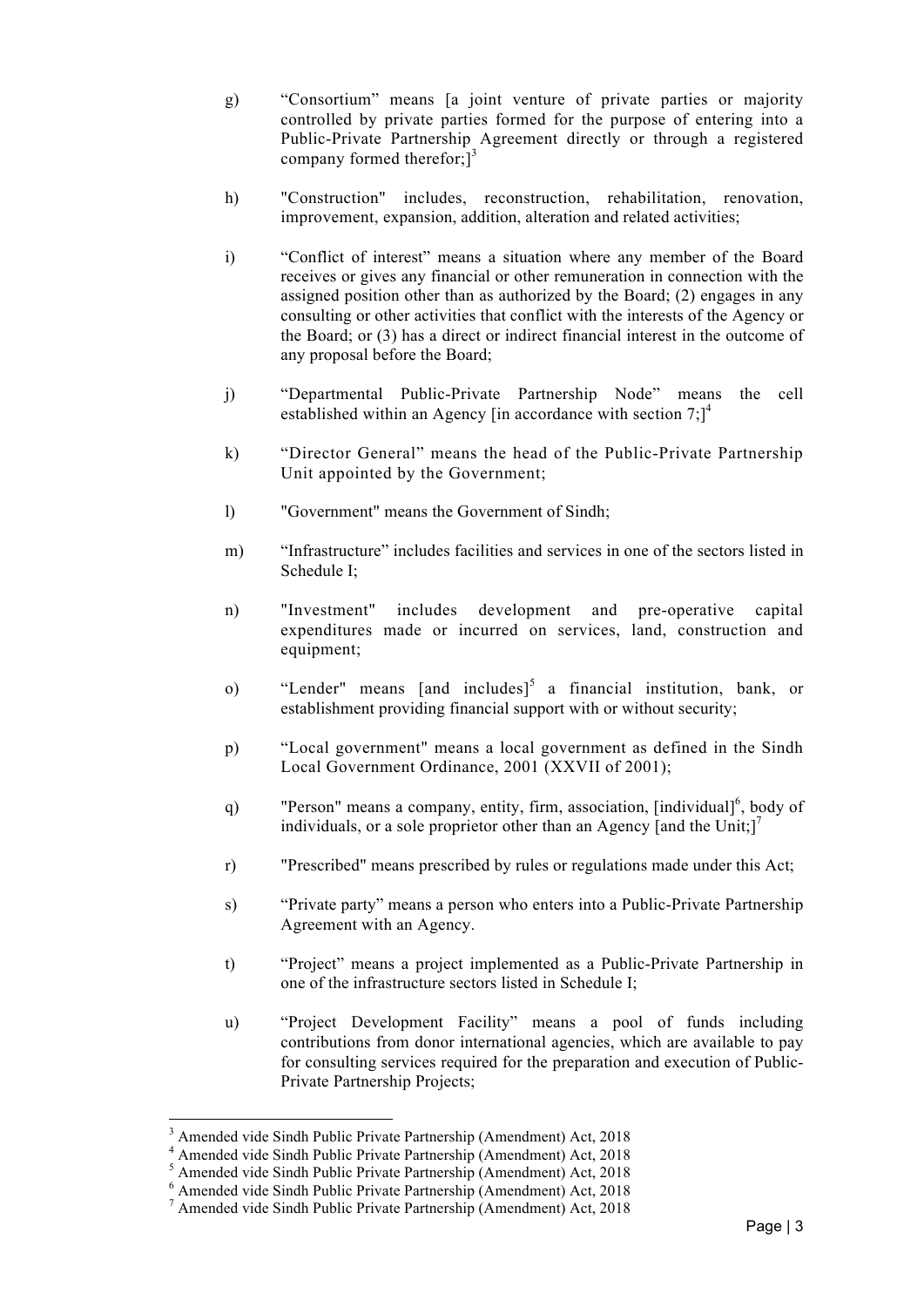- g) "Consortium" means [a joint venture of private parties or majority controlled by private parties formed for the purpose of entering into a Public-Private Partnership Agreement directly or through a registered company formed therefor; $\vec{3}$
- h) "Construction" includes, reconstruction, rehabilitation, renovation, improvement, expansion, addition, alteration and related activities;
- i) "Conflict of interest" means a situation where any member of the Board receives or gives any financial or other remuneration in connection with the assigned position other than as authorized by the Board; (2) engages in any consulting or other activities that conflict with the interests of the Agency or the Board; or (3) has a direct or indirect financial interest in the outcome of any proposal before the Board;
- j) "Departmental Public-Private Partnership Node" means the cell established within an Agency [in accordance with section 7;]<sup>4</sup>
- k) "Director General" means the head of the Public-Private Partnership Unit appointed by the Government;
- l) "Government" means the Government of Sindh;
- m) "Infrastructure" includes facilities and services in one of the sectors listed in Schedule I;
- n) "Investment" includes development and pre-operative capital expenditures made or incurred on services, land, construction and equipment;
- o) "Lender" means [and includes]<sup>5</sup> a financial institution, bank, or establishment providing financial support with or without security;
- p) "Local government" means a local government as defined in the Sindh Local Government Ordinance, 2001 (XXVII of 2001);
- q) "Person" means a company, entity, firm, association,  $[individual]^\circ$ , body of individuals, or a sole proprietor other than an Agency [and the Unit;]<sup>7</sup>
- r) "Prescribed" means prescribed by rules or regulations made under this Act;
- s) "Private party" means a person who enters into a Public-Private Partnership Agreement with an Agency.
- t) "Project" means a project implemented as a Public-Private Partnership in one of the infrastructure sectors listed in Schedule I;
- u) "Project Development Facility" means a pool of funds including contributions from donor international agencies, which are available to pay for consulting services required for the preparation and execution of Public-Private Partnership Projects;

<u> 1989 - Johann Stein, fransk politiker (d. 1989)</u>

<sup>3</sup> Amended vide Sindh Public Private Partnership (Amendment) Act, 2018

<sup>4</sup> Amended vide Sindh Public Private Partnership (Amendment) Act, 2018

<sup>5</sup> Amended vide Sindh Public Private Partnership (Amendment) Act, 2018

<sup>6</sup> Amended vide Sindh Public Private Partnership (Amendment) Act, 2018

<sup>7</sup> Amended vide Sindh Public Private Partnership (Amendment) Act, 2018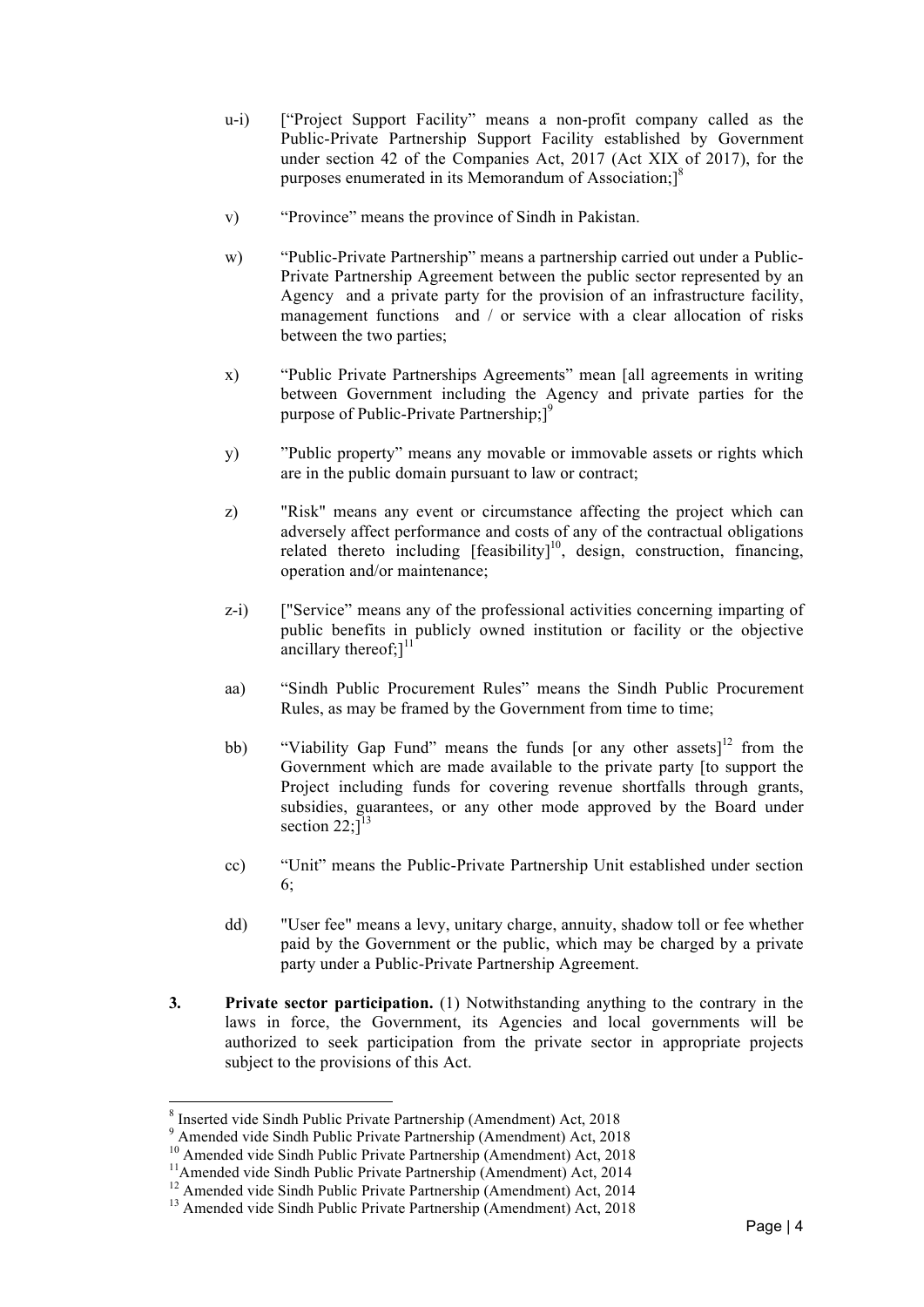- u-i) ["Project Support Facility" means a non-profit company called as the Public-Private Partnership Support Facility established by Government under section 42 of the Companies Act, 2017 (Act XIX of 2017), for the purposes enumerated in its Memorandum of Association;]<sup>8</sup>
- v) "Province" means the province of Sindh in Pakistan.
- w) "Public-Private Partnership" means a partnership carried out under a Public-Private Partnership Agreement between the public sector represented by an Agency and a private party for the provision of an infrastructure facility, management functions and / or service with a clear allocation of risks between the two parties;
- x) "Public Private Partnerships Agreements" mean [all agreements in writing between Government including the Agency and private parties for the purpose of Public-Private Partnership;]<sup>9</sup>
- y) "Public property" means any movable or immovable assets or rights which are in the public domain pursuant to law or contract;
- z) "Risk" means any event or circumstance affecting the project which can adversely affect performance and costs of any of the contractual obligations related thereto including  $[feasibility]^{10}$ , design, construction, financing, operation and/or maintenance;
- z-i) ["Service" means any of the professional activities concerning imparting of public benefits in publicly owned institution or facility or the objective ancillary thereof; $]$ <sup>11</sup>
- aa) "Sindh Public Procurement Rules" means the Sindh Public Procurement Rules, as may be framed by the Government from time to time;
- bb) "Viability Gap Fund" means the funds [or any other assets]<sup>12</sup> from the Government which are made available to the private party [to support the Project including funds for covering revenue shortfalls through grants, subsidies, guarantees, or any other mode approved by the Board under section  $22$ ;  $\overline{)}^{13}$
- cc) "Unit" means the Public-Private Partnership Unit established under section 6;
- dd) "User fee" means a levy, unitary charge, annuity, shadow toll or fee whether paid by the Government or the public, which may be charged by a private party under a Public-Private Partnership Agreement.
- **3. Private sector participation.** (1) Notwithstanding anything to the contrary in the laws in force, the Government, its Agencies and local governments will be authorized to seek participation from the private sector in appropriate projects subject to the provisions of this Act.

<u> 1989 - Johann Stein, fransk politiker (d. 1989)</u>

<sup>8</sup> Inserted vide Sindh Public Private Partnership (Amendment) Act, 2018 <sup>9</sup> Amended vide Sindh Public Private Partnership (Amendment) Act, 2018

<sup>&</sup>lt;sup>10</sup> Amended vide Sindh Public Private Partnership (Amendment) Act, 2018<br><sup>11</sup>Amended vide Sindh Public Private Partnership (Amendment) Act, 2014

<sup>&</sup>lt;sup>12</sup> Amended vide Sindh Public Private Partnership (Amendment) Act, 2014<br><sup>13</sup> Amended vide Sindh Public Private Partnership (Amendment) Act, 2018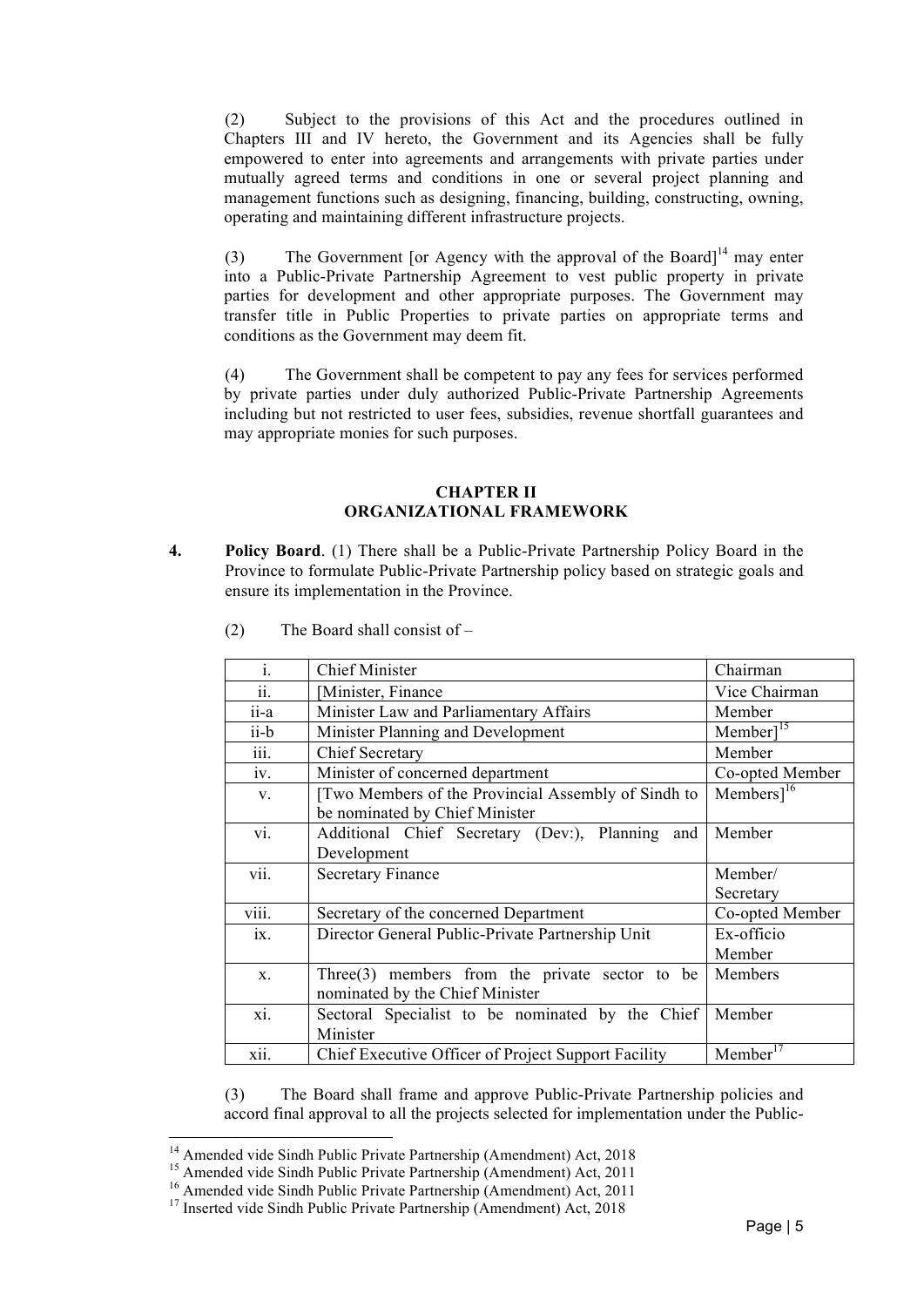(2) Subject to the provisions of this Act and the procedures outlined in Chapters III and IV hereto, the Government and its Agencies shall be fully empowered to enter into agreements and arrangements with private parties under mutually agreed terms and conditions in one or several project planning and management functions such as designing, financing, building, constructing, owning, operating and maintaining different infrastructure projects.

(3) The Government [or Agency with the approval of the Board]<sup>14</sup> may enter into a Public-Private Partnership Agreement to vest public property in private parties for development and other appropriate purposes. The Government may transfer title in Public Properties to private parties on appropriate terms and conditions as the Government may deem fit.

(4) The Government shall be competent to pay any fees for services performed by private parties under duly authorized Public-Private Partnership Agreements including but not restricted to user fees, subsidies, revenue shortfall guarantees and may appropriate monies for such purposes.

#### **CHAPTER II ORGANIZATIONAL FRAMEWORK**

**4. Policy Board**. (1) There shall be a Public-Private Partnership Policy Board in the Province to formulate Public-Private Partnership policy based on strategic goals and ensure its implementation in the Province.

| $\mathbf{i}$ .    | <b>Chief Minister</b>                               | Chairman                          |
|-------------------|-----------------------------------------------------|-----------------------------------|
| ii.               | Minister, Finance                                   | Vice Chairman                     |
| ii-a              | Minister Law and Parliamentary Affairs              | Member                            |
| ii-b              | Minister Planning and Development                   | Member <sup><math>15</math></sup> |
| iii.              | <b>Chief Secretary</b>                              | Member                            |
| iv.               | Minister of concerned department                    | Co-opted Member                   |
| V.                | [Two Members of the Provincial Assembly of Sindh to | Members $]^{16}$                  |
|                   | be nominated by Chief Minister                      |                                   |
| vi.               | Additional Chief Secretary (Dev.), Planning and     | Member                            |
|                   | Development                                         |                                   |
| vii.              | <b>Secretary Finance</b>                            | Member/                           |
|                   |                                                     | Secretary                         |
| viii.             | Secretary of the concerned Department               | Co-opted Member                   |
| 1X.               | Director General Public-Private Partnership Unit    | Ex-officio                        |
|                   |                                                     | Member                            |
| X.                | Three $(3)$ members from the private sector to be   | Members                           |
|                   | nominated by the Chief Minister                     |                                   |
| $\overline{xi}$ . | Sectoral Specialist to be nominated by the Chief    | Member                            |
|                   | Minister                                            |                                   |
| xii.              | Chief Executive Officer of Project Support Facility | Member                            |

(2) The Board shall consist of –

(3) The Board shall frame and approve Public-Private Partnership policies and accord final approval to all the projects selected for implementation under the Public-

 

<sup>&</sup>lt;sup>14</sup> Amended vide Sindh Public Private Partnership (Amendment) Act, 2018<br><sup>15</sup> Amended vide Sindh Public Private Partnership (Amendment) Act, 2011<br><sup>16</sup> Amended vide Sindh Public Private Partnership (Amendment) Act, 2011<br><sup>1</sup>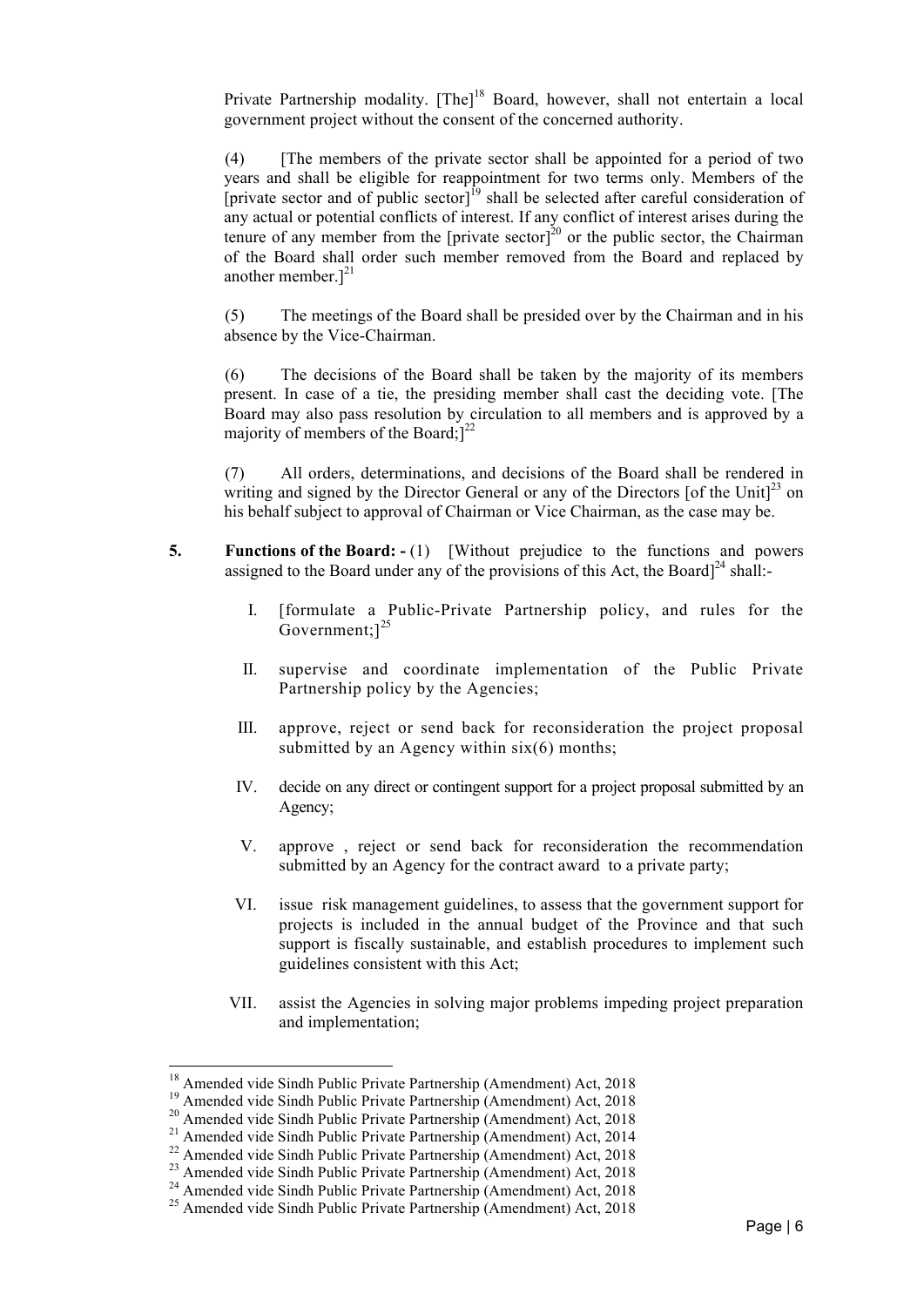Private Partnership modality. [The]<sup>18</sup> Board, however, shall not entertain a local government project without the consent of the concerned authority.

(4) [The members of the private sector shall be appointed for a period of two years and shall be eligible for reappointment for two terms only. Members of the [private sector and of public sector]<sup>19</sup> shall be selected after careful consideration of any actual or potential conflicts of interest. If any conflict of interest arises during the tenure of any member from the [private sector]<sup>20</sup> or the public sector, the Chairman of the Board shall order such member removed from the Board and replaced by another member. $]^{21}$ 

(5) The meetings of the Board shall be presided over by the Chairman and in his absence by the Vice-Chairman.

(6) The decisions of the Board shall be taken by the majority of its members present. In case of a tie, the presiding member shall cast the deciding vote. [The Board may also pass resolution by circulation to all members and is approved by a majority of members of the Board; $]^{22}$ 

(7) All orders, determinations, and decisions of the Board shall be rendered in writing and signed by the Director General or any of the Directors [of the Unit] $^{23}$  on his behalf subject to approval of Chairman or Vice Chairman, as the case may be.

- **5.** Functions of the Board:  $(1)$  [Without prejudice to the functions and powers assigned to the Board under any of the provisions of this Act, the Board<sup> $24$ </sup> shall:-
	- I. [formulate a Public-Private Partnership policy, and rules for the Government; $]^{25}$
	- II. supervise and coordinate implementation of the Public Private Partnership policy by the Agencies;
	- III. approve, reject or send back for reconsideration the project proposal submitted by an Agency within  $six(6)$  months;
	- IV. decide on any direct or contingent support for a project proposal submitted by an Agency;
	- V. approve , reject or send back for reconsideration the recommendation submitted by an Agency for the contract award to a private party;
	- VI. issue risk management guidelines, to assess that the government support for projects is included in the annual budget of the Province and that such support is fiscally sustainable, and establish procedures to implement such guidelines consistent with this Act;
	- VII. assist the Agencies in solving major problems impeding project preparation and implementation;

 

<sup>&</sup>lt;sup>18</sup> Amended vide Sindh Public Private Partnership (Amendment) Act, 2018<br><sup>19</sup> Amended vide Sindh Public Private Partnership (Amendment) Act, 2018<br><sup>20</sup> Amended vide Sindh Public Private Partnership (Amendment) Act, 2018<br><sup>2</sup>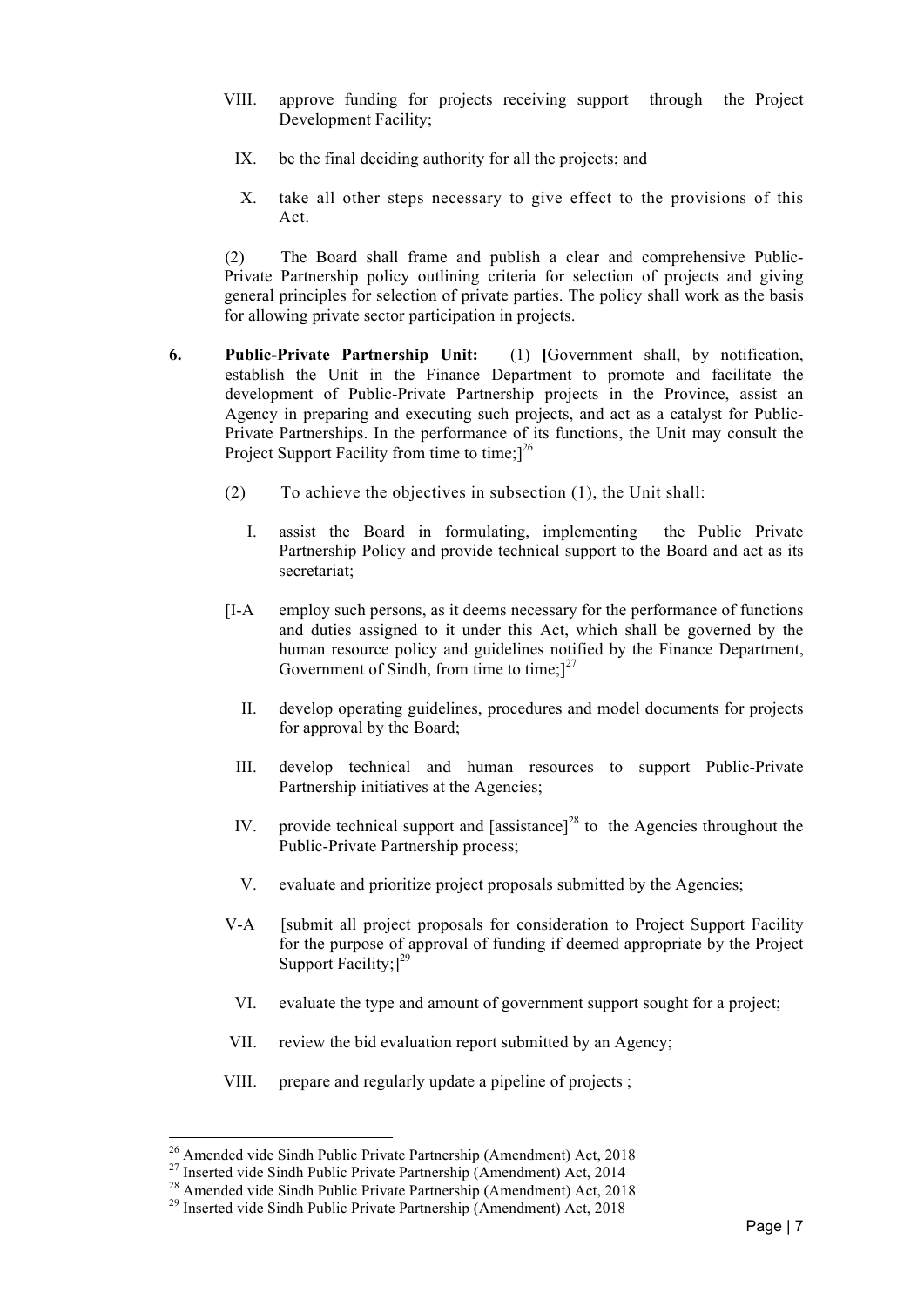- VIII. approve funding for projects receiving support through the Project Development Facility;
	- IX. be the final deciding authority for all the projects; and
	- X. take all other steps necessary to give effect to the provisions of this Act.

(2) The Board shall frame and publish a clear and comprehensive Public-Private Partnership policy outlining criteria for selection of projects and giving general principles for selection of private parties. The policy shall work as the basis for allowing private sector participation in projects.

- **6. Public-Private Partnership Unit:** (1) **[**Government shall, by notification, establish the Unit in the Finance Department to promote and facilitate the development of Public-Private Partnership projects in the Province, assist an Agency in preparing and executing such projects, and act as a catalyst for Public-Private Partnerships. In the performance of its functions, the Unit may consult the Project Support Facility from time to time;<sup>126</sup>
	- (2) To achieve the objectives in subsection (1), the Unit shall:
		- I. assist the Board in formulating, implementing the Public Private Partnership Policy and provide technical support to the Board and act as its secretariat;
	- [I-A employ such persons, as it deems necessary for the performance of functions and duties assigned to it under this Act, which shall be governed by the human resource policy and guidelines notified by the Finance Department, Government of Sindh, from time to time; $]^{27}$ 
		- II. develop operating guidelines, procedures and model documents for projects for approval by the Board;
		- III. develop technical and human resources to support Public-Private Partnership initiatives at the Agencies;
		- IV. provide technical support and  $[assistance]^{28}$  to the Agencies throughout the Public-Private Partnership process;
		- V. evaluate and prioritize project proposals submitted by the Agencies;
	- V-A [submit all project proposals for consideration to Project Support Facility for the purpose of approval of funding if deemed appropriate by the Project Support Facility: $]^{29}$
	- VI. evaluate the type and amount of government support sought for a project;
	- VII. review the bid evaluation report submitted by an Agency;
	- VIII. prepare and regularly update a pipeline of projects ;

 

<sup>&</sup>lt;sup>26</sup> Amended vide Sindh Public Private Partnership (Amendment) Act, 2018<br><sup>27</sup> Inserted vide Sindh Public Private Partnership (Amendment) Act, 2014<br><sup>28</sup> Amended vide Sindh Public Private Partnership (Amendment) Act, 2018<br><sup></sup>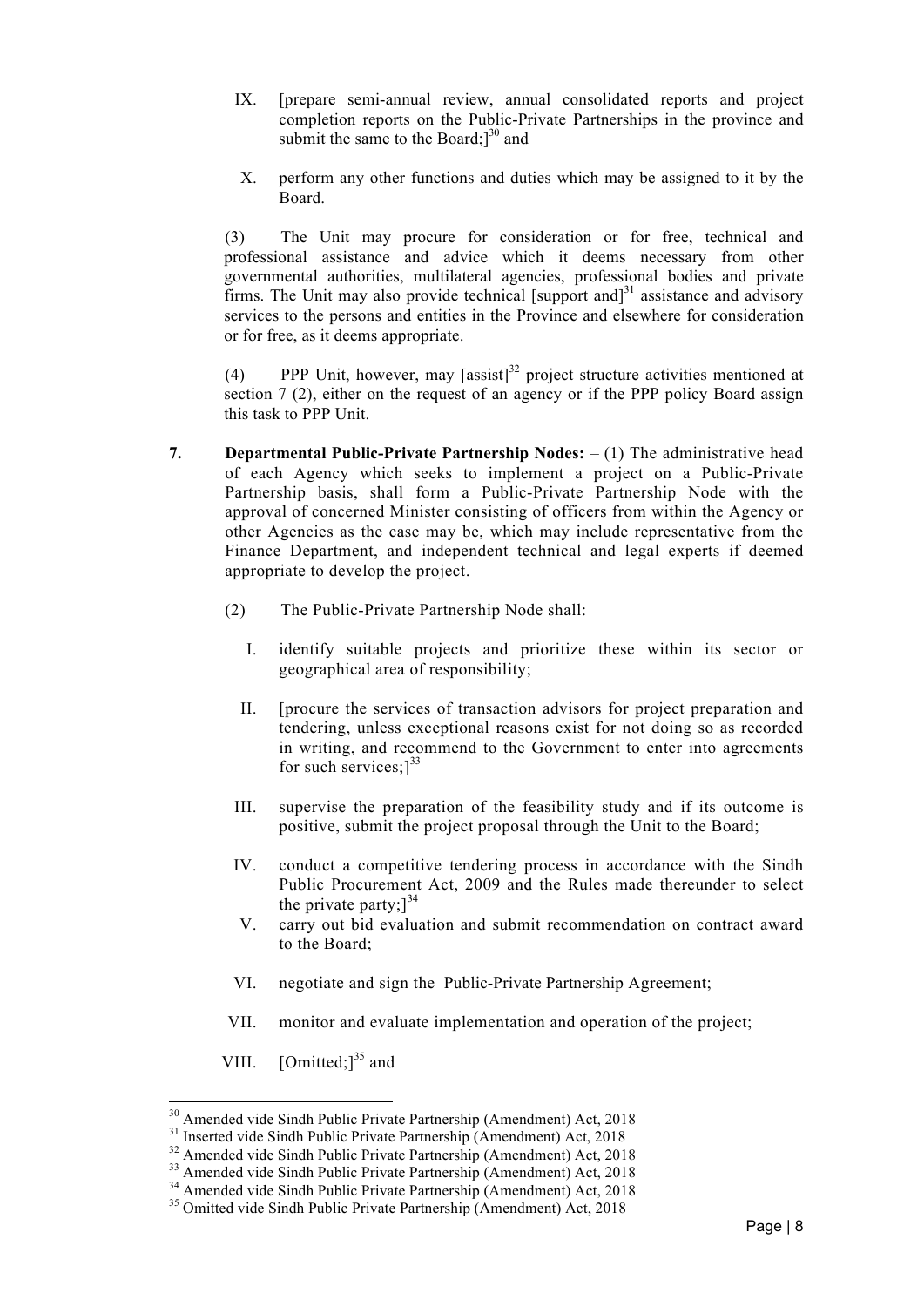- IX. [prepare semi-annual review, annual consolidated reports and project completion reports on the Public-Private Partnerships in the province and submit the same to the Board; $]^{30}$  and
- X. perform any other functions and duties which may be assigned to it by the Board.

(3) The Unit may procure for consideration or for free, technical and professional assistance and advice which it deems necessary from other governmental authorities, multilateral agencies, professional bodies and private firms. The Unit may also provide technical [support and]<sup>31</sup> assistance and advisory services to the persons and entities in the Province and elsewhere for consideration or for free, as it deems appropriate.

(4) PPP Unit, however, may  $[assist]$ <sup>32</sup> project structure activities mentioned at section 7 (2), either on the request of an agency or if the PPP policy Board assign this task to PPP Unit.

- **7. Departmental Public-Private Partnership Nodes:** (1) The administrative head of each Agency which seeks to implement a project on a Public-Private Partnership basis, shall form a Public-Private Partnership Node with the approval of concerned Minister consisting of officers from within the Agency or other Agencies as the case may be, which may include representative from the Finance Department, and independent technical and legal experts if deemed appropriate to develop the project.
	- (2) The Public-Private Partnership Node shall:
		- I. identify suitable projects and prioritize these within its sector or geographical area of responsibility;
		- II. [procure the services of transaction advisors for project preparation and tendering, unless exceptional reasons exist for not doing so as recorded in writing, and recommend to the Government to enter into agreements for such services;]<sup>33</sup>
		- III. supervise the preparation of the feasibility study and if its outcome is positive, submit the project proposal through the Unit to the Board;
	- IV. conduct a competitive tendering process in accordance with the Sindh Public Procurement Act, 2009 and the Rules made thereunder to select the private party; $]^{34}$
	- V. carry out bid evaluation and submit recommendation on contract award to the Board;
	- VI. negotiate and sign the Public-Private Partnership Agreement;
	- VII. monitor and evaluate implementation and operation of the project;
	- VIII.  $[Omitted!]^{35}$  and

<sup>&</sup>lt;sup>30</sup> Amended vide Sindh Public Private Partnership (Amendment) Act, 2018<br><sup>31</sup> Inserted vide Sindh Public Private Partnership (Amendment) Act, 2018<br><sup>32</sup> Amended vide Sindh Public Private Partnership (Amendment) Act, 2018<br><sup></sup>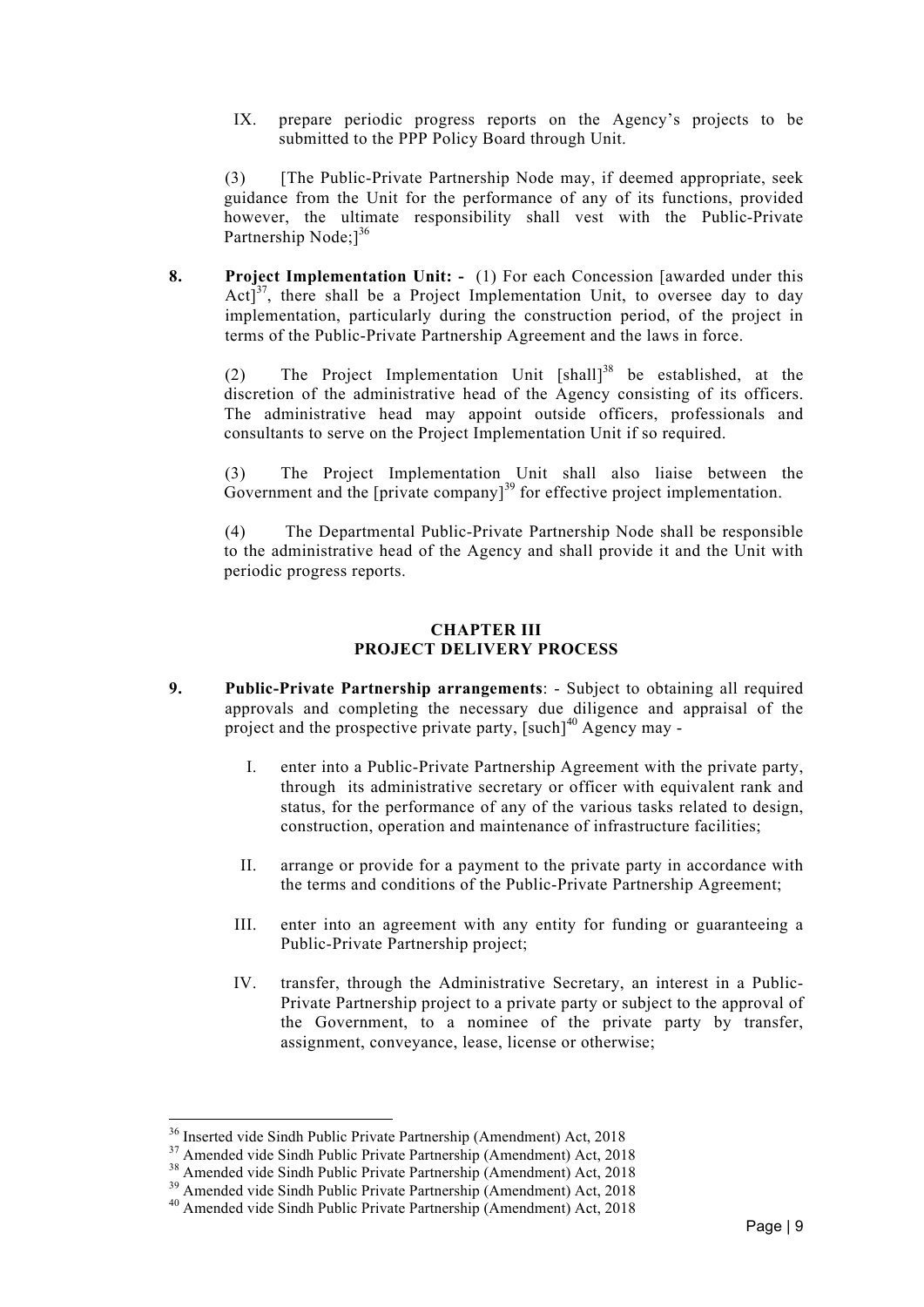IX. prepare periodic progress reports on the Agency's projects to be submitted to the PPP Policy Board through Unit.

(3) [The Public-Private Partnership Node may, if deemed appropriate, seek guidance from the Unit for the performance of any of its functions, provided however, the ultimate responsibility shall vest with the Public-Private Partnership Node: $1^{36}$ 

**8. Project Implementation Unit: -** (1) For each Concession [awarded under this  $Act]^3$ , there shall be a Project Implementation Unit, to oversee day to day implementation, particularly during the construction period, of the project in terms of the Public-Private Partnership Agreement and the laws in force.

(2) The Project Implementation Unit [shall]<sup>38</sup> be established, at the discretion of the administrative head of the Agency consisting of its officers. The administrative head may appoint outside officers, professionals and consultants to serve on the Project Implementation Unit if so required.

(3) The Project Implementation Unit shall also liaise between the Government and the  $[pruate company]$ <sup>39</sup> for effective project implementation.

(4) The Departmental Public-Private Partnership Node shall be responsible to the administrative head of the Agency and shall provide it and the Unit with periodic progress reports.

## **CHAPTER III PROJECT DELIVERY PROCESS**

- **9. Public-Private Partnership arrangements**: Subject to obtaining all required approvals and completing the necessary due diligence and appraisal of the project and the prospective private party, [such]<sup>40</sup> Agency may -
	- I. enter into a Public-Private Partnership Agreement with the private party, through its administrative secretary or officer with equivalent rank and status, for the performance of any of the various tasks related to design, construction, operation and maintenance of infrastructure facilities;
	- II. arrange or provide for a payment to the private party in accordance with the terms and conditions of the Public-Private Partnership Agreement;
	- III. enter into an agreement with any entity for funding or guaranteeing a Public-Private Partnership project;
	- IV. transfer, through the Administrative Secretary, an interest in a Public-Private Partnership project to a private party or subject to the approval of the Government, to a nominee of the private party by transfer, assignment, conveyance, lease, license or otherwise;

<sup>&</sup>lt;sup>36</sup> Inserted vide Sindh Public Private Partnership (Amendment) Act, 2018<br><sup>37</sup> Amended vide Sindh Public Private Partnership (Amendment) Act, 2018<br><sup>38</sup> Amended vide Sindh Public Private Partnership (Amendment) Act, 2018<br><sup></sup>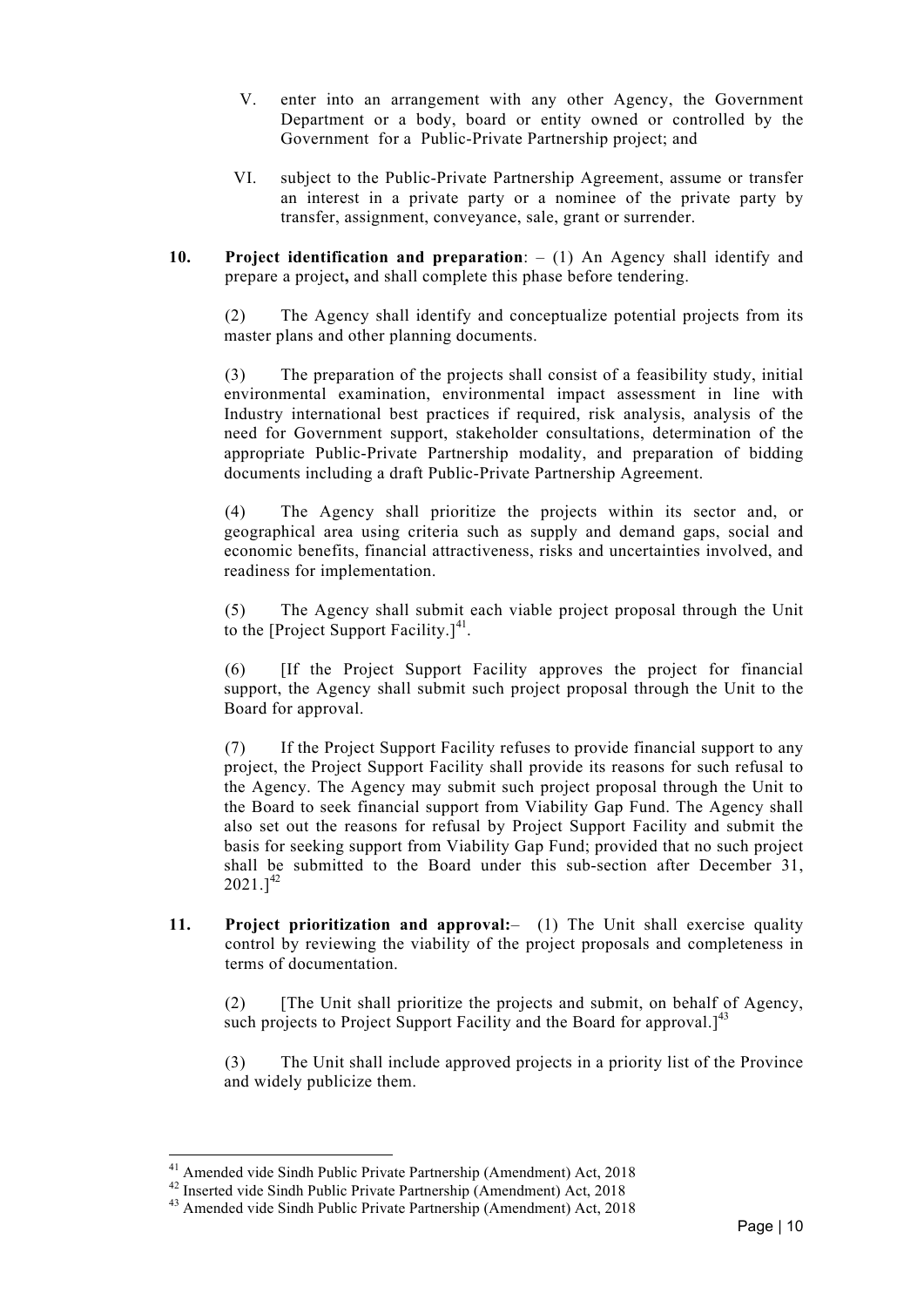- V. enter into an arrangement with any other Agency, the Government Department or a body, board or entity owned or controlled by the Government for a Public-Private Partnership project; and
- VI. subject to the Public-Private Partnership Agreement, assume or transfer an interest in a private party or a nominee of the private party by transfer, assignment, conveyance, sale, grant or surrender.
- **10. Project identification and preparation**: (1) An Agency shall identify and prepare a project**,** and shall complete this phase before tendering.

(2) The Agency shall identify and conceptualize potential projects from its master plans and other planning documents.

(3) The preparation of the projects shall consist of a feasibility study, initial environmental examination, environmental impact assessment in line with Industry international best practices if required, risk analysis, analysis of the need for Government support, stakeholder consultations, determination of the appropriate Public-Private Partnership modality, and preparation of bidding documents including a draft Public-Private Partnership Agreement.

(4) The Agency shall prioritize the projects within its sector and, or geographical area using criteria such as supply and demand gaps, social and economic benefits, financial attractiveness, risks and uncertainties involved, and readiness for implementation.

(5) The Agency shall submit each viable project proposal through the Unit to the [Project Support Facility.] $41$ .

(6) [If the Project Support Facility approves the project for financial support, the Agency shall submit such project proposal through the Unit to the Board for approval.

(7) If the Project Support Facility refuses to provide financial support to any project, the Project Support Facility shall provide its reasons for such refusal to the Agency. The Agency may submit such project proposal through the Unit to the Board to seek financial support from Viability Gap Fund. The Agency shall also set out the reasons for refusal by Project Support Facility and submit the basis for seeking support from Viability Gap Fund; provided that no such project shall be submitted to the Board under this sub-section after December 31,  $2021.$ ]<sup>42</sup>

**11. Project prioritization and approval:**– (1) The Unit shall exercise quality control by reviewing the viability of the project proposals and completeness in terms of documentation.

(2) [The Unit shall prioritize the projects and submit, on behalf of Agency, such projects to Project Support Facility and the Board for approval.<sup>[43]</sup>

(3) The Unit shall include approved projects in a priority list of the Province and widely publicize them.

<sup>&</sup>lt;sup>41</sup> Amended vide Sindh Public Private Partnership (Amendment) Act, 2018<br><sup>42</sup> Inserted vide Sindh Public Private Partnership (Amendment) Act, 2018<br><sup>43</sup> Amended vide Sindh Public Private Partnership (Amendment) Act, 2018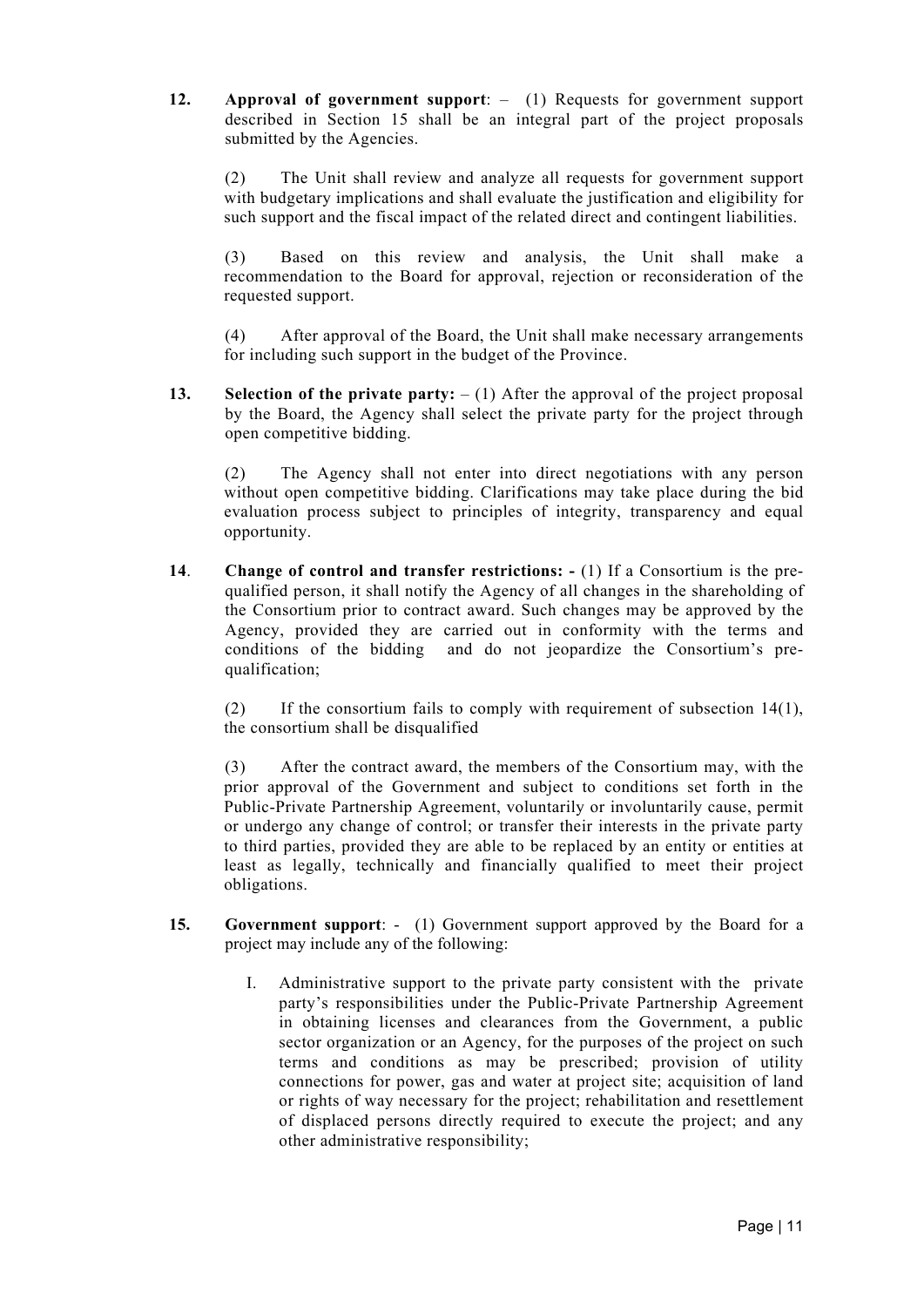**12. Approval of government support**: – (1) Requests for government support described in Section 15 shall be an integral part of the project proposals submitted by the Agencies.

(2) The Unit shall review and analyze all requests for government support with budgetary implications and shall evaluate the justification and eligibility for such support and the fiscal impact of the related direct and contingent liabilities.

(3) Based on this review and analysis, the Unit shall make a recommendation to the Board for approval, rejection or reconsideration of the requested support.

(4) After approval of the Board, the Unit shall make necessary arrangements for including such support in the budget of the Province.

**13. Selection of the private party:** – (1) After the approval of the project proposal by the Board, the Agency shall select the private party for the project through open competitive bidding.

(2) The Agency shall not enter into direct negotiations with any person without open competitive bidding. Clarifications may take place during the bid evaluation process subject to principles of integrity, transparency and equal opportunity.

**14**. **Change of control and transfer restrictions: -** (1) If a Consortium is the prequalified person, it shall notify the Agency of all changes in the shareholding of the Consortium prior to contract award. Such changes may be approved by the Agency, provided they are carried out in conformity with the terms and conditions of the bidding and do not jeopardize the Consortium's prequalification;

(2) If the consortium fails to comply with requirement of subsection 14(1), the consortium shall be disqualified

(3) After the contract award, the members of the Consortium may, with the prior approval of the Government and subject to conditions set forth in the Public-Private Partnership Agreement, voluntarily or involuntarily cause, permit or undergo any change of control; or transfer their interests in the private party to third parties, provided they are able to be replaced by an entity or entities at least as legally, technically and financially qualified to meet their project obligations.

- **15. Government support**: (1) Government support approved by the Board for a project may include any of the following:
	- I. Administrative support to the private party consistent with the private party's responsibilities under the Public-Private Partnership Agreement in obtaining licenses and clearances from the Government, a public sector organization or an Agency, for the purposes of the project on such terms and conditions as may be prescribed; provision of utility connections for power, gas and water at project site; acquisition of land or rights of way necessary for the project; rehabilitation and resettlement of displaced persons directly required to execute the project; and any other administrative responsibility;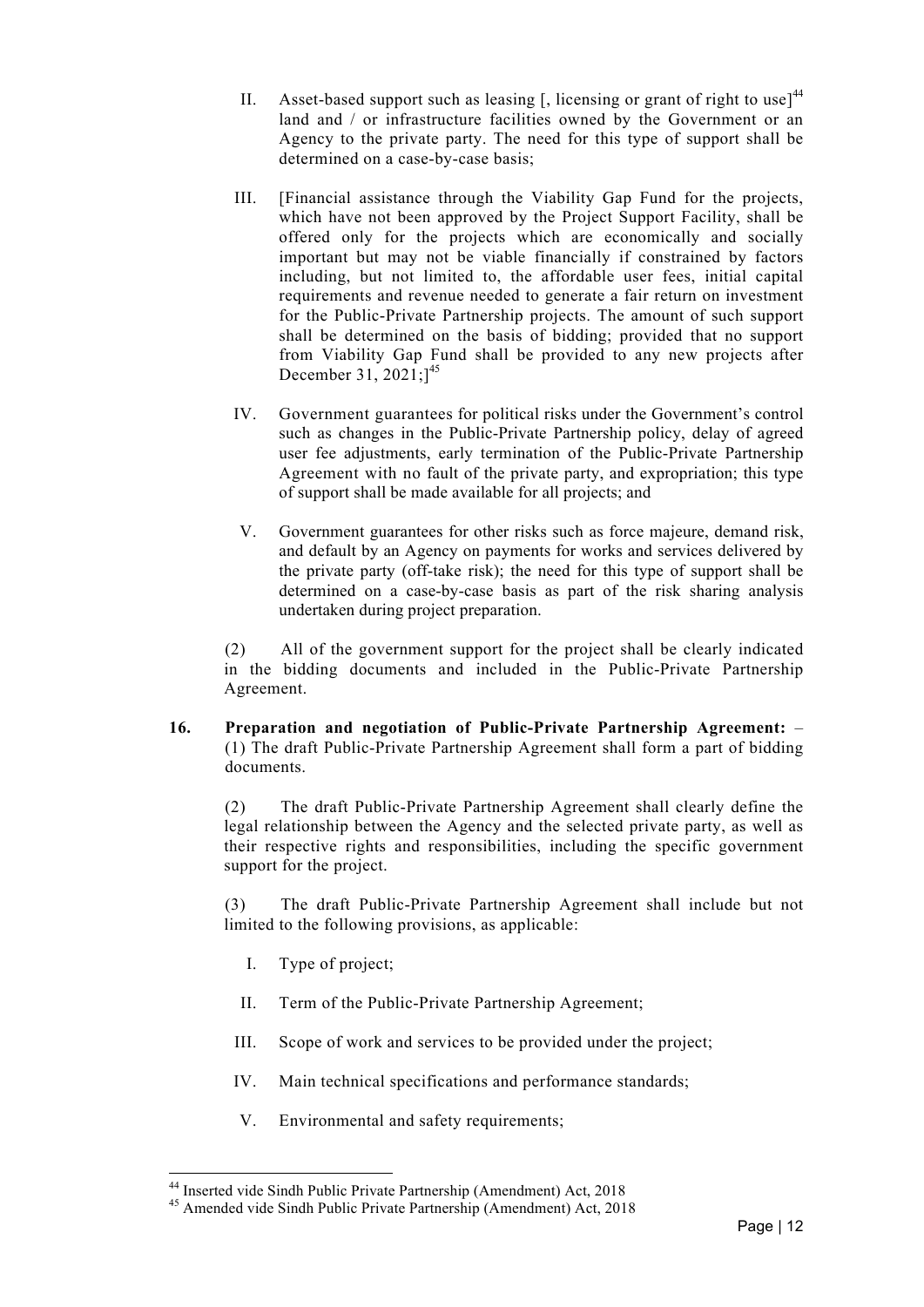- II. Asset-based support such as leasing  $\lceil$ , licensing or grant of right to use<sup> $144$ </sup> land and / or infrastructure facilities owned by the Government or an Agency to the private party. The need for this type of support shall be determined on a case-by-case basis;
- III. [Financial assistance through the Viability Gap Fund for the projects, which have not been approved by the Project Support Facility, shall be offered only for the projects which are economically and socially important but may not be viable financially if constrained by factors including, but not limited to, the affordable user fees, initial capital requirements and revenue needed to generate a fair return on investment for the Public-Private Partnership projects. The amount of such support shall be determined on the basis of bidding; provided that no support from Viability Gap Fund shall be provided to any new projects after December 31, 2021;<sup>145</sup>
- IV. Government guarantees for political risks under the Government's control such as changes in the Public-Private Partnership policy, delay of agreed user fee adjustments, early termination of the Public-Private Partnership Agreement with no fault of the private party, and expropriation; this type of support shall be made available for all projects; and
- V. Government guarantees for other risks such as force majeure, demand risk, and default by an Agency on payments for works and services delivered by the private party (off-take risk); the need for this type of support shall be determined on a case-by-case basis as part of the risk sharing analysis undertaken during project preparation.

(2) All of the government support for the project shall be clearly indicated in the bidding documents and included in the Public-Private Partnership Agreement.

**16. Preparation and negotiation of Public-Private Partnership Agreement:** – (1) The draft Public-Private Partnership Agreement shall form a part of bidding documents.

(2) The draft Public-Private Partnership Agreement shall clearly define the legal relationship between the Agency and the selected private party, as well as their respective rights and responsibilities, including the specific government support for the project.

(3) The draft Public-Private Partnership Agreement shall include but not limited to the following provisions, as applicable:

I. Type of project;

- II. Term of the Public-Private Partnership Agreement;
- III. Scope of work and services to be provided under the project;
- IV. Main technical specifications and performance standards;
- V. Environmental and safety requirements;

<sup>&</sup>lt;sup>44</sup> Inserted vide Sindh Public Private Partnership (Amendment) Act, 2018<br><sup>45</sup> Amended vide Sindh Public Private Partnership (Amendment) Act, 2018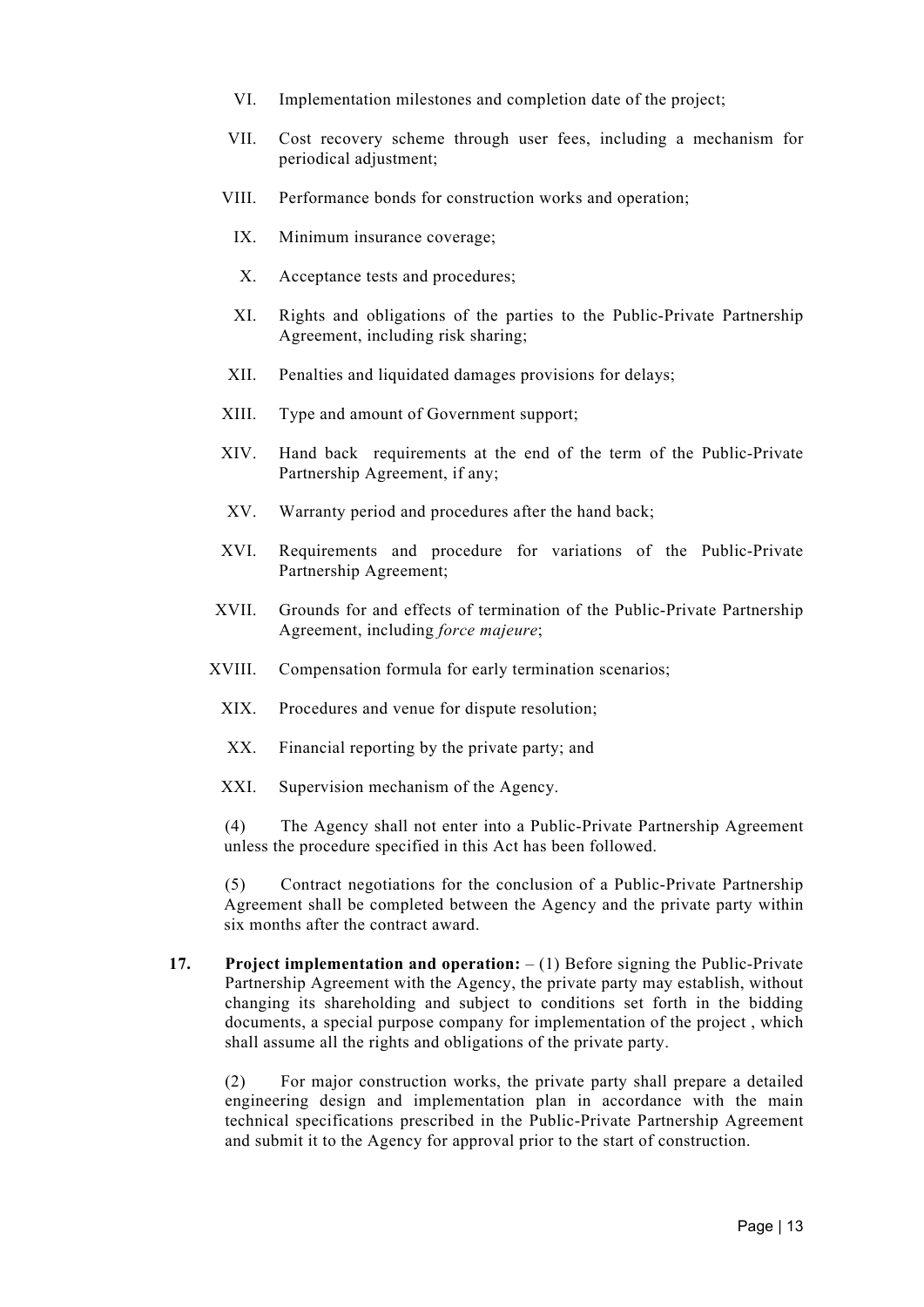- VI. Implementation milestones and completion date of the project;
- VII. Cost recovery scheme through user fees, including a mechanism for periodical adjustment;
- VIII. Performance bonds for construction works and operation;
	- IX. Minimum insurance coverage;
	- X. Acceptance tests and procedures;
	- XI. Rights and obligations of the parties to the Public-Private Partnership Agreement, including risk sharing;
- XII. Penalties and liquidated damages provisions for delays;
- XIII. Type and amount of Government support;
- XIV. Hand back requirements at the end of the term of the Public-Private Partnership Agreement, if any;
- XV. Warranty period and procedures after the hand back;
- XVI. Requirements and procedure for variations of the Public-Private Partnership Agreement;
- XVII. Grounds for and effects of termination of the Public-Private Partnership Agreement, including *force majeure*;
- XVIII. Compensation formula for early termination scenarios;
	- XIX. Procedures and venue for dispute resolution;
	- XX. Financial reporting by the private party; and
	- XXI. Supervision mechanism of the Agency.

(4) The Agency shall not enter into a Public-Private Partnership Agreement unless the procedure specified in this Act has been followed.

(5) Contract negotiations for the conclusion of a Public-Private Partnership Agreement shall be completed between the Agency and the private party within six months after the contract award.

**17. Project implementation and operation:** – (1) Before signing the Public-Private Partnership Agreement with the Agency, the private party may establish, without changing its shareholding and subject to conditions set forth in the bidding documents, a special purpose company for implementation of the project , which shall assume all the rights and obligations of the private party.

(2) For major construction works, the private party shall prepare a detailed engineering design and implementation plan in accordance with the main technical specifications prescribed in the Public-Private Partnership Agreement and submit it to the Agency for approval prior to the start of construction.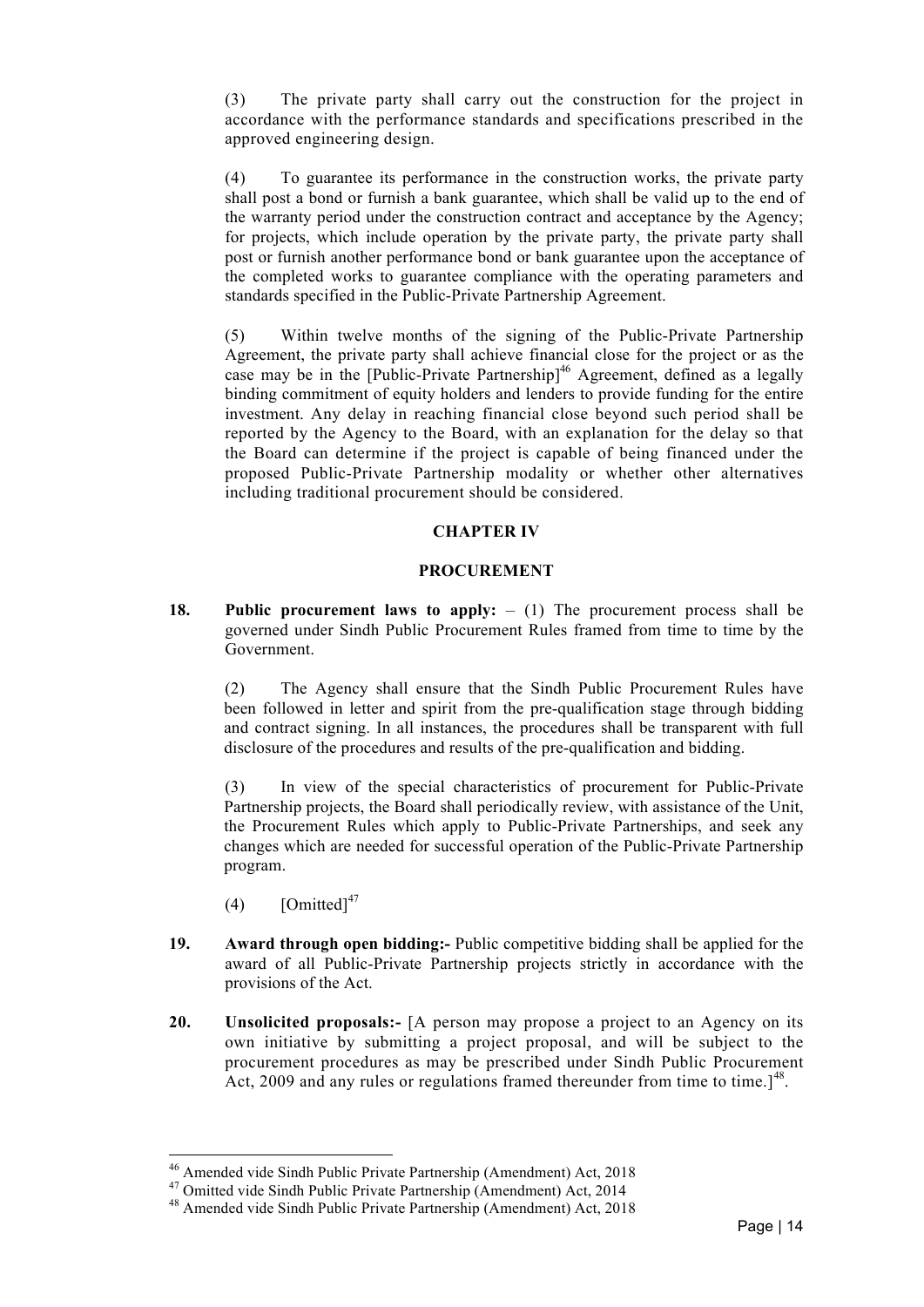(3) The private party shall carry out the construction for the project in accordance with the performance standards and specifications prescribed in the approved engineering design.

(4) To guarantee its performance in the construction works, the private party shall post a bond or furnish a bank guarantee, which shall be valid up to the end of the warranty period under the construction contract and acceptance by the Agency; for projects, which include operation by the private party, the private party shall post or furnish another performance bond or bank guarantee upon the acceptance of the completed works to guarantee compliance with the operating parameters and standards specified in the Public-Private Partnership Agreement.

(5) Within twelve months of the signing of the Public-Private Partnership Agreement, the private party shall achieve financial close for the project or as the case may be in the [Public-Private Partnership] <sup>46</sup> Agreement, defined as a legally binding commitment of equity holders and lenders to provide funding for the entire investment. Any delay in reaching financial close beyond such period shall be reported by the Agency to the Board, with an explanation for the delay so that the Board can determine if the project is capable of being financed under the proposed Public-Private Partnership modality or whether other alternatives including traditional procurement should be considered.

## **CHAPTER IV**

#### **PROCUREMENT**

**18. Public procurement laws to apply:** – (1) The procurement process shall be governed under Sindh Public Procurement Rules framed from time to time by the Government.

(2) The Agency shall ensure that the Sindh Public Procurement Rules have been followed in letter and spirit from the pre-qualification stage through bidding and contract signing. In all instances, the procedures shall be transparent with full disclosure of the procedures and results of the pre-qualification and bidding.

(3) In view of the special characteristics of procurement for Public-Private Partnership projects, the Board shall periodically review, with assistance of the Unit, the Procurement Rules which apply to Public-Private Partnerships, and seek any changes which are needed for successful operation of the Public-Private Partnership program.

 $(4)$  [Omitted]<sup>47</sup>

- **19. Award through open bidding:-** Public competitive bidding shall be applied for the award of all Public-Private Partnership projects strictly in accordance with the provisions of the Act.
- **20. Unsolicited proposals:-** [A person may propose a project to an Agency on its own initiative by submitting a project proposal, and will be subject to the procurement procedures as may be prescribed under Sindh Public Procurement Act, 2009 and any rules or regulations framed thereunder from time to time.<sup>[48]</sup>.

<sup>&</sup>lt;sup>46</sup> Amended vide Sindh Public Private Partnership (Amendment) Act, 2018<br><sup>47</sup> Omitted vide Sindh Public Private Partnership (Amendment) Act, 2014<br><sup>48</sup> Amended vide Sindh Public Private Partnership (Amendment) Act, 2018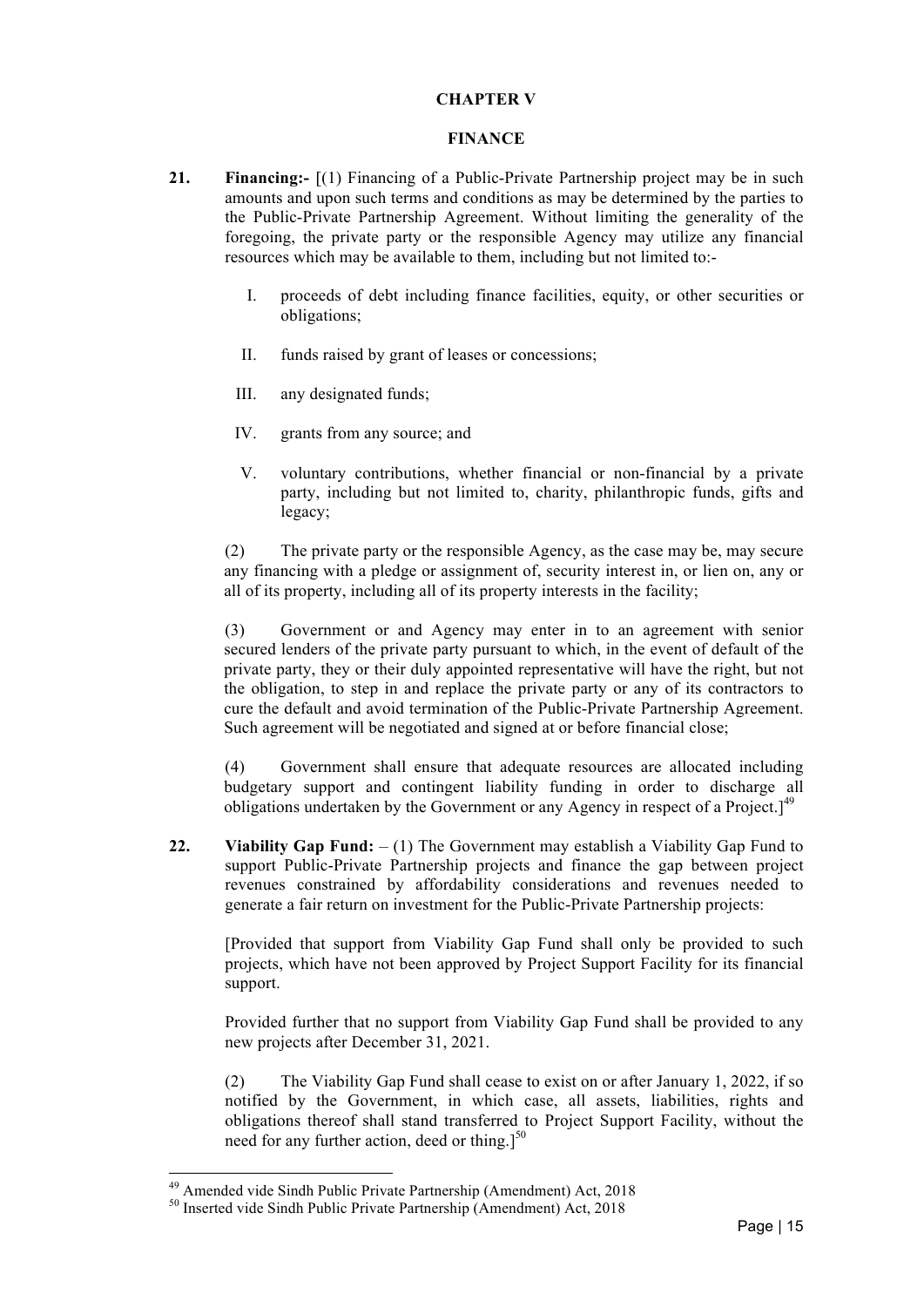#### **CHAPTER V**

#### **FINANCE**

- **21. Financing:-** [(1) Financing of a Public-Private Partnership project may be in such amounts and upon such terms and conditions as may be determined by the parties to the Public-Private Partnership Agreement. Without limiting the generality of the foregoing, the private party or the responsible Agency may utilize any financial resources which may be available to them, including but not limited to:-
	- I. proceeds of debt including finance facilities, equity, or other securities or obligations;
	- II. funds raised by grant of leases or concessions;
	- III. any designated funds;
	- IV. grants from any source; and
	- V. voluntary contributions, whether financial or non-financial by a private party, including but not limited to, charity, philanthropic funds, gifts and legacy;

(2) The private party or the responsible Agency, as the case may be, may secure any financing with a pledge or assignment of, security interest in, or lien on, any or all of its property, including all of its property interests in the facility;

(3) Government or and Agency may enter in to an agreement with senior secured lenders of the private party pursuant to which, in the event of default of the private party, they or their duly appointed representative will have the right, but not the obligation, to step in and replace the private party or any of its contractors to cure the default and avoid termination of the Public-Private Partnership Agreement. Such agreement will be negotiated and signed at or before financial close;

(4) Government shall ensure that adequate resources are allocated including budgetary support and contingent liability funding in order to discharge all obligations undertaken by the Government or any Agency in respect of a Project.]<sup>49</sup>

**22. Viability Gap Fund:** – (1) The Government may establish a Viability Gap Fund to support Public-Private Partnership projects and finance the gap between project revenues constrained by affordability considerations and revenues needed to generate a fair return on investment for the Public-Private Partnership projects:

[Provided that support from Viability Gap Fund shall only be provided to such projects, which have not been approved by Project Support Facility for its financial support.

Provided further that no support from Viability Gap Fund shall be provided to any new projects after December 31, 2021.

(2) The Viability Gap Fund shall cease to exist on or after January 1, 2022, if so notified by the Government, in which case, all assets, liabilities, rights and obligations thereof shall stand transferred to Project Support Facility, without the need for any further action, deed or thing.] $50$ 

<sup>&</sup>lt;sup>49</sup> Amended vide Sindh Public Private Partnership (Amendment) Act, 2018<br><sup>50</sup> Inserted vide Sindh Public Private Partnership (Amendment) Act, 2018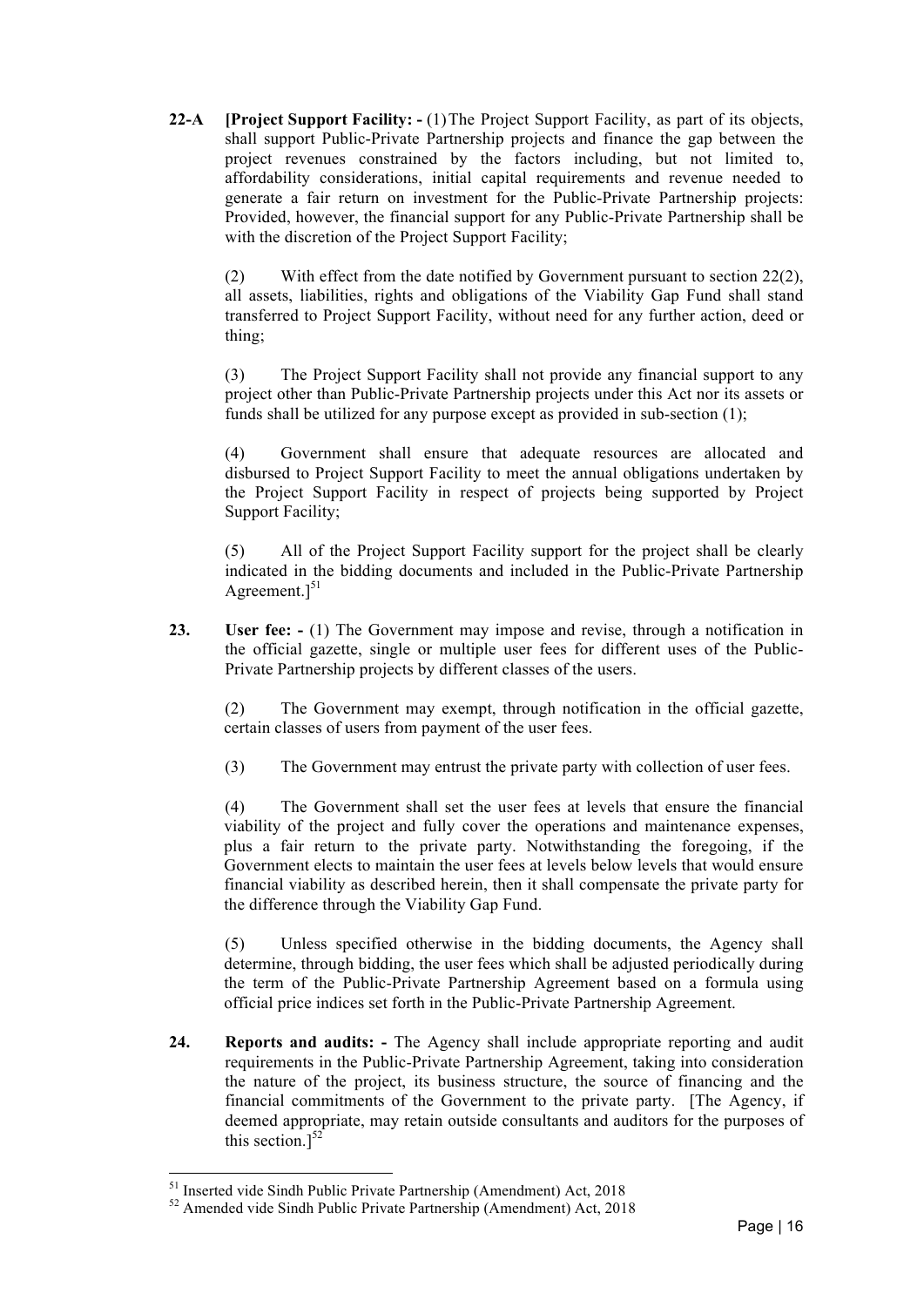**22-A [Project Support Facility: -** (1)The Project Support Facility, as part of its objects, shall support Public-Private Partnership projects and finance the gap between the project revenues constrained by the factors including, but not limited to, affordability considerations, initial capital requirements and revenue needed to generate a fair return on investment for the Public-Private Partnership projects: Provided, however, the financial support for any Public-Private Partnership shall be with the discretion of the Project Support Facility;

(2) With effect from the date notified by Government pursuant to section 22(2), all assets, liabilities, rights and obligations of the Viability Gap Fund shall stand transferred to Project Support Facility, without need for any further action, deed or thing;

(3) The Project Support Facility shall not provide any financial support to any project other than Public-Private Partnership projects under this Act nor its assets or funds shall be utilized for any purpose except as provided in sub-section (1);

(4) Government shall ensure that adequate resources are allocated and disbursed to Project Support Facility to meet the annual obligations undertaken by the Project Support Facility in respect of projects being supported by Project Support Facility;

(5) All of the Project Support Facility support for the project shall be clearly indicated in the bidding documents and included in the Public-Private Partnership Agreement. $]^{51}$ 

**23. User fee: -** (1) The Government may impose and revise, through a notification in the official gazette, single or multiple user fees for different uses of the Public-Private Partnership projects by different classes of the users.

(2) The Government may exempt, through notification in the official gazette, certain classes of users from payment of the user fees.

(3) The Government may entrust the private party with collection of user fees.

(4) The Government shall set the user fees at levels that ensure the financial viability of the project and fully cover the operations and maintenance expenses, plus a fair return to the private party. Notwithstanding the foregoing, if the Government elects to maintain the user fees at levels below levels that would ensure financial viability as described herein, then it shall compensate the private party for the difference through the Viability Gap Fund.

(5) Unless specified otherwise in the bidding documents, the Agency shall determine, through bidding, the user fees which shall be adjusted periodically during the term of the Public-Private Partnership Agreement based on a formula using official price indices set forth in the Public-Private Partnership Agreement.

**24. Reports and audits: -** The Agency shall include appropriate reporting and audit requirements in the Public-Private Partnership Agreement, taking into consideration the nature of the project, its business structure, the source of financing and the financial commitments of the Government to the private party. [The Agency, if deemed appropriate, may retain outside consultants and auditors for the purposes of this section.] $52$ 

<sup>&</sup>lt;sup>51</sup> Inserted vide Sindh Public Private Partnership (Amendment) Act, 2018<br><sup>52</sup> Amended vide Sindh Public Private Partnership (Amendment) Act, 2018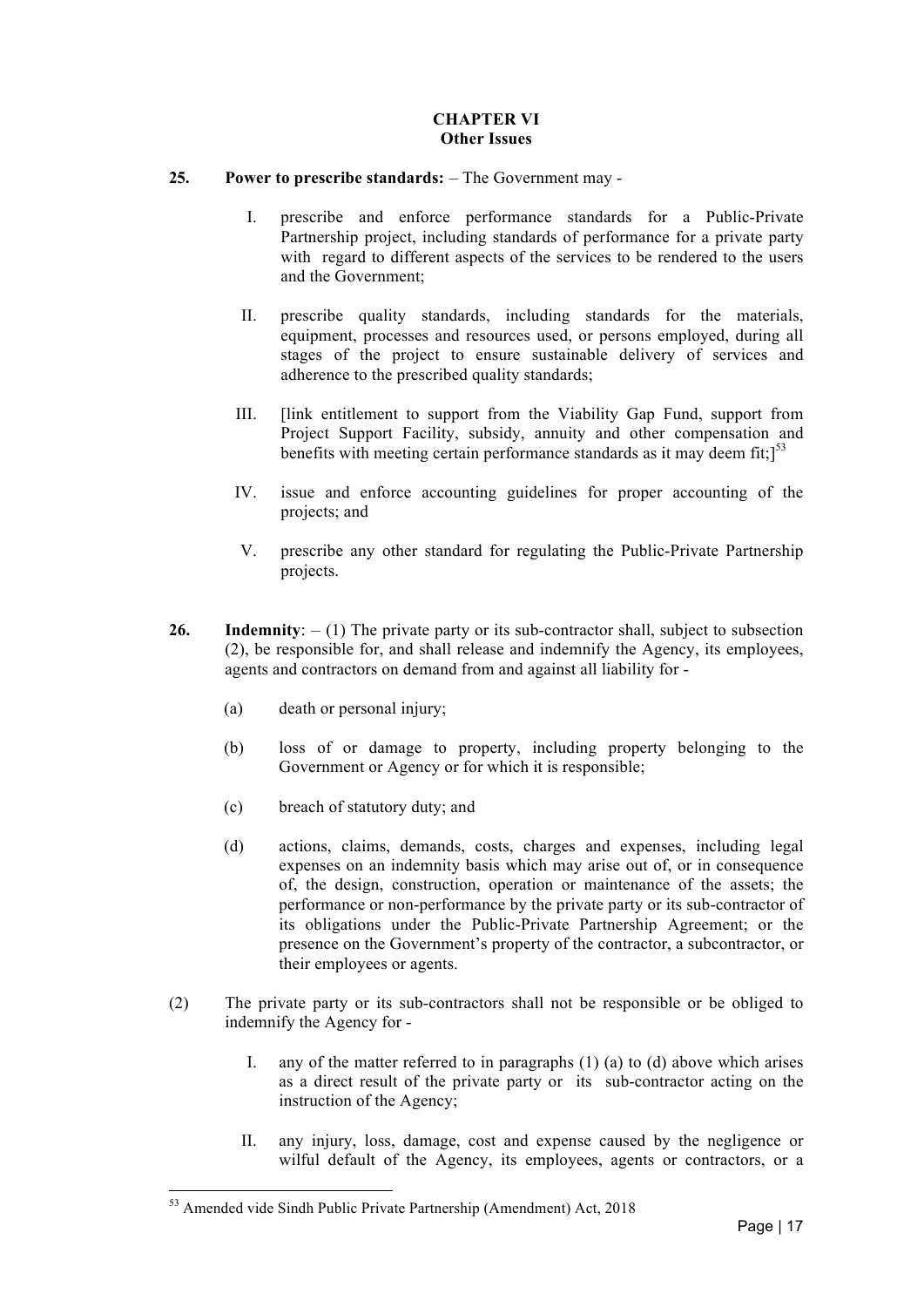## **CHAPTER VI Other Issues**

### **25. Power to prescribe standards:** – The Government may -

- I. prescribe and enforce performance standards for a Public-Private Partnership project, including standards of performance for a private party with regard to different aspects of the services to be rendered to the users and the Government;
- II. prescribe quality standards, including standards for the materials, equipment, processes and resources used, or persons employed, during all stages of the project to ensure sustainable delivery of services and adherence to the prescribed quality standards;
- III. [link entitlement to support from the Viability Gap Fund, support from Project Support Facility, subsidy, annuity and other compensation and benefits with meeting certain performance standards as it may deem fit;]<sup>53</sup>
- IV. issue and enforce accounting guidelines for proper accounting of the projects; and
- V. prescribe any other standard for regulating the Public-Private Partnership projects.
- 26. Indemnity:  $(1)$  The private party or its sub-contractor shall, subject to subsection (2), be responsible for, and shall release and indemnify the Agency, its employees, agents and contractors on demand from and against all liability for -
	- (a) death or personal injury;
	- (b) loss of or damage to property, including property belonging to the Government or Agency or for which it is responsible;
	- (c) breach of statutory duty; and
	- (d) actions, claims, demands, costs, charges and expenses, including legal expenses on an indemnity basis which may arise out of, or in consequence of, the design, construction, operation or maintenance of the assets; the performance or non-performance by the private party or its sub-contractor of its obligations under the Public-Private Partnership Agreement; or the presence on the Government's property of the contractor, a subcontractor, or their employees or agents.
- (2) The private party or its sub-contractors shall not be responsible or be obliged to indemnify the Agency for -
	- I. any of the matter referred to in paragraphs  $(1)$   $(a)$  to  $(d)$  above which arises as a direct result of the private party or its sub-contractor acting on the instruction of the Agency;
	- II. any injury, loss, damage, cost and expense caused by the negligence or wilful default of the Agency, its employees, agents or contractors, or a

<sup>&</sup>lt;sup>53</sup> Amended vide Sindh Public Private Partnership (Amendment) Act, 2018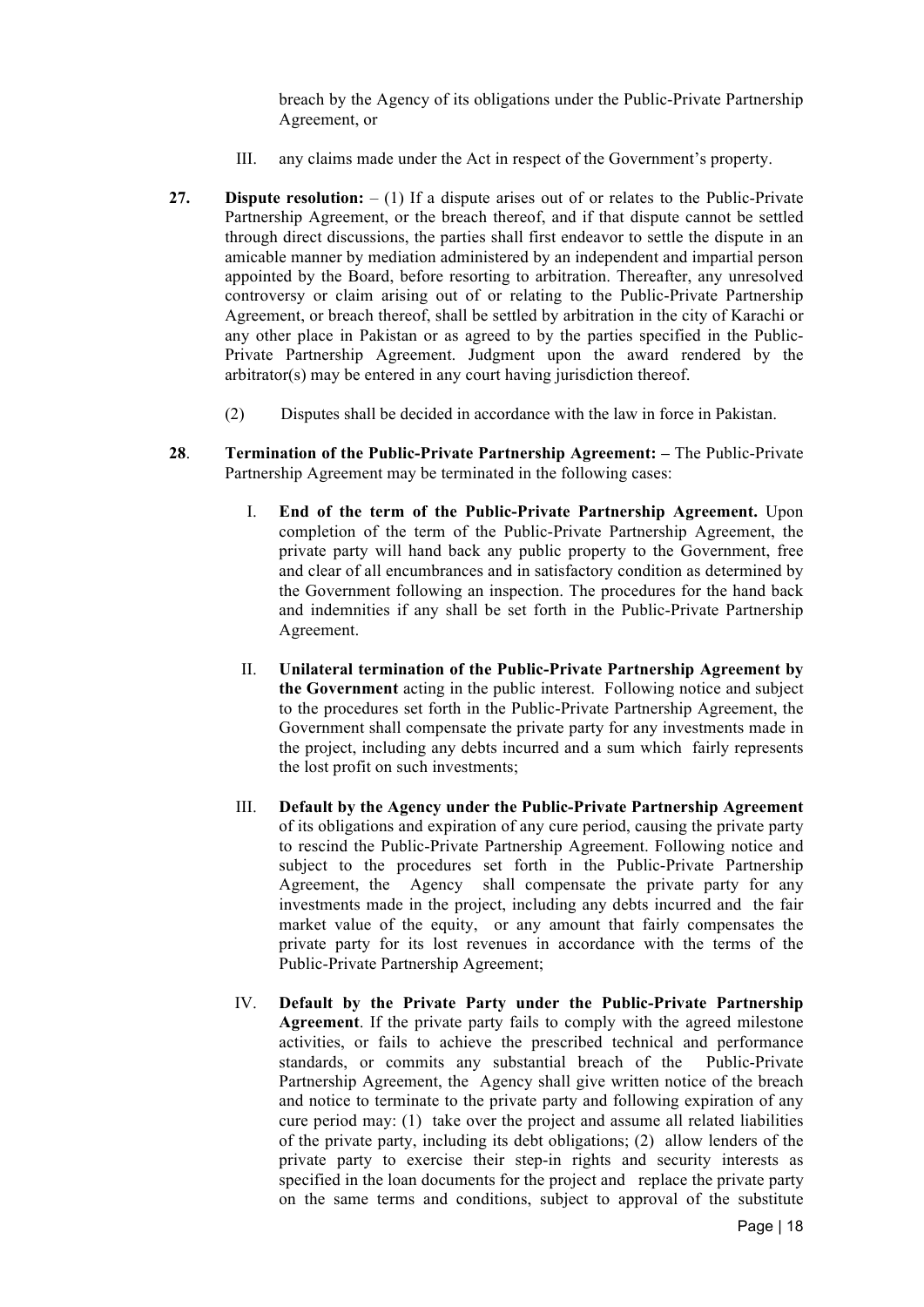breach by the Agency of its obligations under the Public-Private Partnership Agreement, or

- III. any claims made under the Act in respect of the Government's property.
- **27. Dispute resolution:** (1) If a dispute arises out of or relates to the Public-Private Partnership Agreement, or the breach thereof, and if that dispute cannot be settled through direct discussions, the parties shall first endeavor to settle the dispute in an amicable manner by mediation administered by an independent and impartial person appointed by the Board, before resorting to arbitration. Thereafter, any unresolved controversy or claim arising out of or relating to the Public-Private Partnership Agreement, or breach thereof, shall be settled by arbitration in the city of Karachi or any other place in Pakistan or as agreed to by the parties specified in the Public-Private Partnership Agreement. Judgment upon the award rendered by the arbitrator(s) may be entered in any court having jurisdiction thereof.
	- (2) Disputes shall be decided in accordance with the law in force in Pakistan.
- **28**. **Termination of the Public-Private Partnership Agreement: –** The Public-Private Partnership Agreement may be terminated in the following cases:
	- I. **End of the term of the Public-Private Partnership Agreement.** Upon completion of the term of the Public-Private Partnership Agreement, the private party will hand back any public property to the Government, free and clear of all encumbrances and in satisfactory condition as determined by the Government following an inspection. The procedures for the hand back and indemnities if any shall be set forth in the Public-Private Partnership Agreement.
	- II. **Unilateral termination of the Public-Private Partnership Agreement by the Government** acting in the public interest. Following notice and subject to the procedures set forth in the Public-Private Partnership Agreement, the Government shall compensate the private party for any investments made in the project, including any debts incurred and a sum which fairly represents the lost profit on such investments;
	- III. **Default by the Agency under the Public-Private Partnership Agreement**  of its obligations and expiration of any cure period, causing the private party to rescind the Public-Private Partnership Agreement. Following notice and subject to the procedures set forth in the Public-Private Partnership Agreement, the Agency shall compensate the private party for any investments made in the project, including any debts incurred and the fair market value of the equity, or any amount that fairly compensates the private party for its lost revenues in accordance with the terms of the Public-Private Partnership Agreement;
	- IV. **Default by the Private Party under the Public-Private Partnership Agreement**. If the private party fails to comply with the agreed milestone activities, or fails to achieve the prescribed technical and performance standards, or commits any substantial breach of the Public-Private Partnership Agreement, the Agency shall give written notice of the breach and notice to terminate to the private party and following expiration of any cure period may: (1) take over the project and assume all related liabilities of the private party, including its debt obligations; (2) allow lenders of the private party to exercise their step-in rights and security interests as specified in the loan documents for the project and replace the private party on the same terms and conditions, subject to approval of the substitute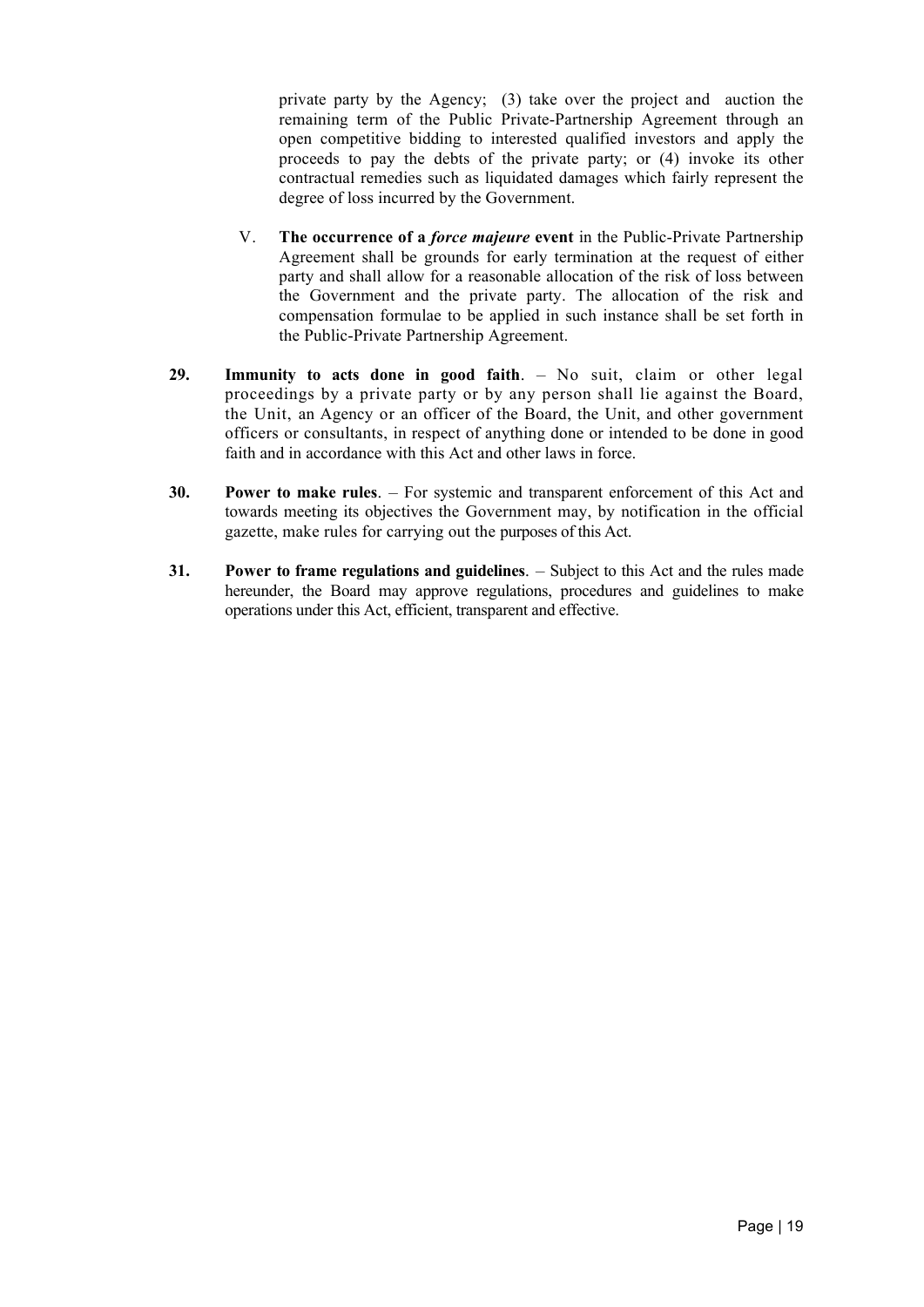private party by the Agency; (3) take over the project and auction the remaining term of the Public Private-Partnership Agreement through an open competitive bidding to interested qualified investors and apply the proceeds to pay the debts of the private party; or (4) invoke its other contractual remedies such as liquidated damages which fairly represent the degree of loss incurred by the Government.

- V. **The occurrence of a** *force majeure* **event** in the Public-Private Partnership Agreement shall be grounds for early termination at the request of either party and shall allow for a reasonable allocation of the risk of loss between the Government and the private party. The allocation of the risk and compensation formulae to be applied in such instance shall be set forth in the Public-Private Partnership Agreement.
- **29. Immunity to acts done in good faith**. No suit, claim or other legal proceedings by a private party or by any person shall lie against the Board, the Unit, an Agency or an officer of the Board, the Unit, and other government officers or consultants, in respect of anything done or intended to be done in good faith and in accordance with this Act and other laws in force.
- **30. Power to make rules**. For systemic and transparent enforcement of this Act and towards meeting its objectives the Government may, by notification in the official gazette, make rules for carrying out the purposes of this Act.
- **31. Power to frame regulations and guidelines**. Subject to this Act and the rules made hereunder, the Board may approve regulations, procedures and guidelines to make operations under this Act, efficient, transparent and effective.